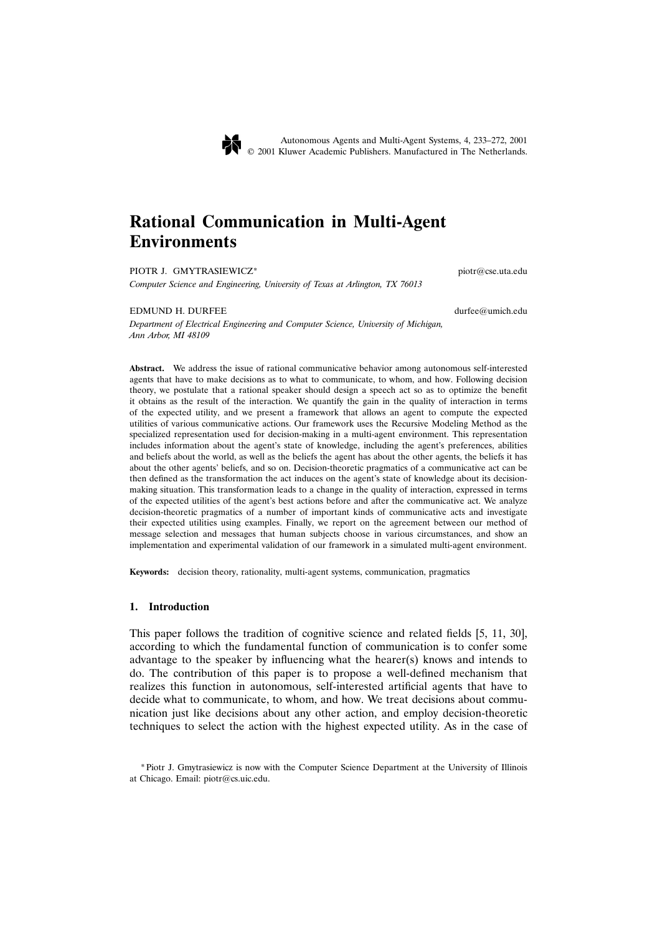

Autonomous Agents and Multi-Agent Systems, 4, 233–272, 2001 © 2001 Kluwer Academic Publishers. Manufactured in The Netherlands.

# Rational Communication in Multi-Agent Environments

PIOTR J. GMYTRASIEWICZ\* piotr@cse.uta.edu Computer Science and Engineering, University of Texas at Arlington, TX 76013

EDMUND H. DURFEE durfee@umich.edu

Department of Electrical Engineering and Computer Science, University of Michigan, Ann Arbor, MI 48109

Abstract. We address the issue of rational communicative behavior among autonomous self-interested agents that have to make decisions as to what to communicate, to whom, and how. Following decision theory, we postulate that a rational speaker should design a speech act so as to optimize the benefit it obtains as the result of the interaction. We quantify the gain in the quality of interaction in terms of the expected utility, and we present a framework that allows an agent to compute the expected utilities of various communicative actions. Our framework uses the Recursive Modeling Method as the specialized representation used for decision-making in a multi-agent environment. This representation includes information about the agent's state of knowledge, including the agent's preferences, abilities and beliefs about the world, as well as the beliefs the agent has about the other agents, the beliefs it has about the other agents' beliefs, and so on. Decision-theoretic pragmatics of a communicative act can be then defined as the transformation the act induces on the agent's state of knowledge about its decisionmaking situation. This transformation leads to a change in the quality of interaction, expressed in terms of the expected utilities of the agent's best actions before and after the communicative act. We analyze decision-theoretic pragmatics of a number of important kinds of communicative acts and investigate their expected utilities using examples. Finally, we report on the agreement between our method of message selection and messages that human subjects choose in various circumstances, and show an implementation and experimental validation of our framework in a simulated multi-agent environment.

Keywords: decision theory, rationality, multi-agent systems, communication, pragmatics

#### 1. Introduction

This paper follows the tradition of cognitive science and related fields [5, 11, 30], according to which the fundamental function of communication is to confer some advantage to the speaker by influencing what the hearer(s) knows and intends to do. The contribution of this paper is to propose a well-defined mechanism that realizes this function in autonomous, self-interested artificial agents that have to decide what to communicate, to whom, and how. We treat decisions about communication just like decisions about any other action, and employ decision-theoretic techniques to select the action with the highest expected utility. As in the case of

<sup>\*</sup> Piotr J. Gmytrasiewicz is now with the Computer Science Department at the University of Illinois at Chicago. Email: piotr@cs.uic.edu.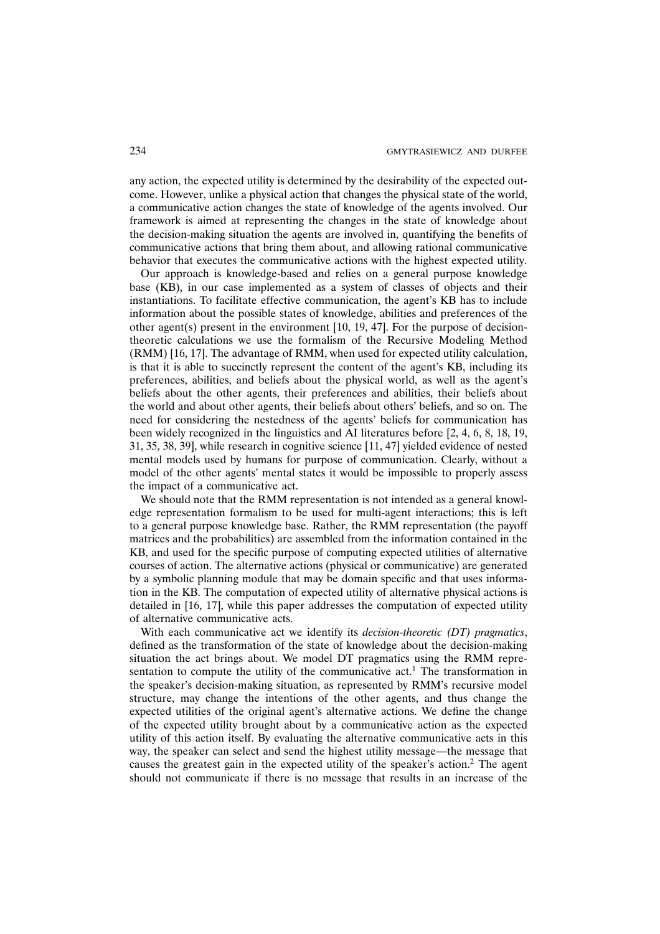any action, the expected utility is determined by the desirability of the expected outcome. However, unlike a physical action that changes the physical state of the world, a communicative action changes the state of knowledge of the agents involved. Our framework is aimed at representing the changes in the state of knowledge about the decision-making situation the agents are involved in, quantifying the benefits of communicative actions that bring them about, and allowing rational communicative behavior that executes the communicative actions with the highest expected utility.

Our approach is knowledge-based and relies on a general purpose knowledge base (KB), in our case implemented as a system of classes of objects and their instantiations. To facilitate effective communication, the agent's KB has to include information about the possible states of knowledge, abilities and preferences of the other agent(s) present in the environment  $[10, 19, 47]$ . For the purpose of decisiontheoretic calculations we use the formalism of the Recursive Modeling Method (RMM) [16, 17]. The advantage of RMM, when used for expected utility calculation, is that it is able to succinctly represent the content of the agent's KB, including its preferences, abilities, and beliefs about the physical world, as well as the agent's beliefs about the other agents, their preferences and abilities, their beliefs about the world and about other agents, their beliefs about others' beliefs, and so on. The need for considering the nestedness of the agents' beliefs for communication has been widely recognized in the linguistics and AI literatures before [2, 4, 6, 8, 18, 19, 31, 35, 38, 39], while research in cognitive science [11, 47] yielded evidence of nested mental models used by humans for purpose of communication. Clearly, without a model of the other agents' mental states it would be impossible to properly assess the impact of a communicative act.

We should note that the RMM representation is not intended as a general knowledge representation formalism to be used for multi-agent interactions; this is left to a general purpose knowledge base. Rather, the RMM representation (the payoff matrices and the probabilities) are assembled from the information contained in the KB, and used for the specific purpose of computing expected utilities of alternative courses of action. The alternative actions (physical or communicative) are generated by a symbolic planning module that may be domain specific and that uses information in the KB. The computation of expected utility of alternative physical actions is detailed in [16, 17], while this paper addresses the computation of expected utility of alternative communicative acts.

With each communicative act we identify its *decision-theoretic (DT) pragmatics*, defined as the transformation of the state of knowledge about the decision-making situation the act brings about. We model DT pragmatics using the RMM representation to compute the utility of the communicative  $act<sup>1</sup>$ . The transformation in the speaker's decision-making situation, as represented by RMM's recursive model structure, may change the intentions of the other agents, and thus change the expected utilities of the original agent's alternative actions. We define the change of the expected utility brought about by a communicative action as the expected utility of this action itself. By evaluating the alternative communicative acts in this way, the speaker can select and send the highest utility message—the message that causes the greatest gain in the expected utility of the speaker's action.<sup>2</sup> The agent should not communicate if there is no message that results in an increase of the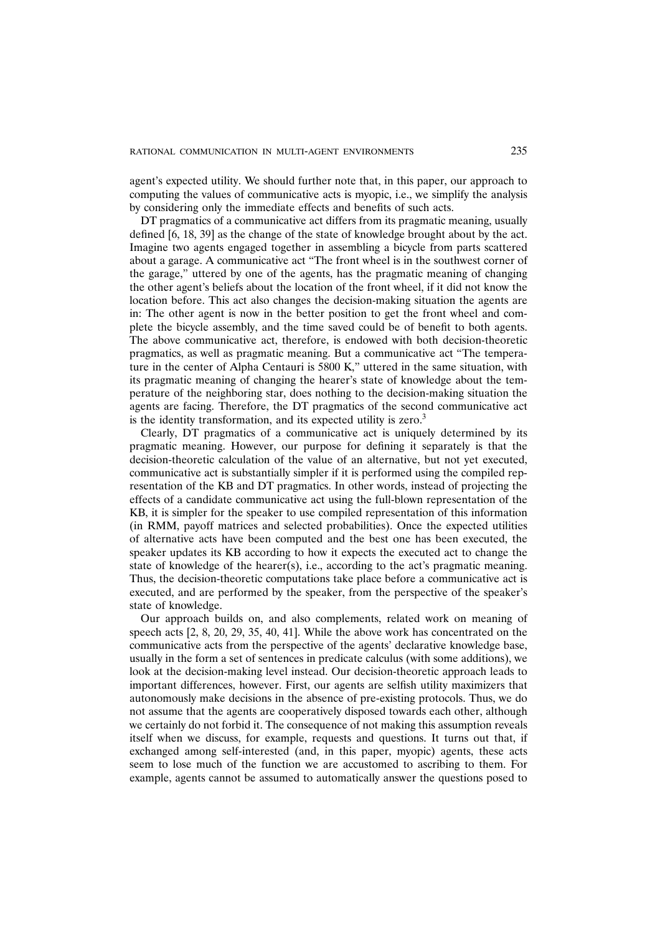agent's expected utility. We should further note that, in this paper, our approach to computing the values of communicative acts is myopic, i.e., we simplify the analysis by considering only the immediate effects and benefits of such acts.

DT pragmatics of a communicative act differs from its pragmatic meaning, usually defined [6, 18, 39] as the change of the state of knowledge brought about by the act. Imagine two agents engaged together in assembling a bicycle from parts scattered about a garage. A communicative act "The front wheel is in the southwest corner of the garage," uttered by one of the agents, has the pragmatic meaning of changing the other agent's beliefs about the location of the front wheel, if it did not know the location before. This act also changes the decision-making situation the agents are in: The other agent is now in the better position to get the front wheel and complete the bicycle assembly, and the time saved could be of benefit to both agents. The above communicative act, therefore, is endowed with both decision-theoretic pragmatics, as well as pragmatic meaning. But a communicative act "The temperature in the center of Alpha Centauri is 5800 K," uttered in the same situation, with its pragmatic meaning of changing the hearer's state of knowledge about the temperature of the neighboring star, does nothing to the decision-making situation the agents are facing. Therefore, the DT pragmatics of the second communicative act is the identity transformation, and its expected utility is zero. $3$ 

Clearly, DT pragmatics of a communicative act is uniquely determined by its pragmatic meaning. However, our purpose for defining it separately is that the decision-theoretic calculation of the value of an alternative, but not yet executed, communicative act is substantially simpler if it is performed using the compiled representation of the KB and DT pragmatics. In other words, instead of projecting the effects of a candidate communicative act using the full-blown representation of the KB, it is simpler for the speaker to use compiled representation of this information (in RMM, payoff matrices and selected probabilities). Once the expected utilities of alternative acts have been computed and the best one has been executed, the speaker updates its KB according to how it expects the executed act to change the state of knowledge of the hearer(s), i.e., according to the act's pragmatic meaning. Thus, the decision-theoretic computations take place before a communicative act is executed, and are performed by the speaker, from the perspective of the speaker's state of knowledge.

Our approach builds on, and also complements, related work on meaning of speech acts [2, 8, 20, 29, 35, 40, 41]. While the above work has concentrated on the communicative acts from the perspective of the agents' declarative knowledge base, usually in the form a set of sentences in predicate calculus (with some additions), we look at the decision-making level instead. Our decision-theoretic approach leads to important differences, however. First, our agents are selfish utility maximizers that autonomously make decisions in the absence of pre-existing protocols. Thus, we do not assume that the agents are cooperatively disposed towards each other, although we certainly do not forbid it. The consequence of not making this assumption reveals itself when we discuss, for example, requests and questions. It turns out that, if exchanged among self-interested (and, in this paper, myopic) agents, these acts seem to lose much of the function we are accustomed to ascribing to them. For example, agents cannot be assumed to automatically answer the questions posed to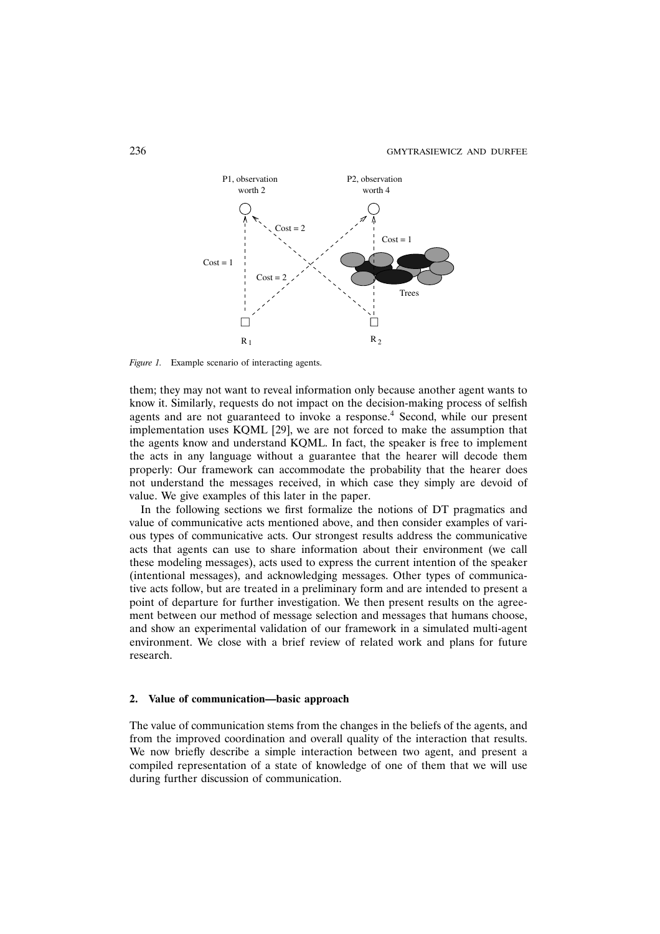

Figure 1. Example scenario of interacting agents.

them; they may not want to reveal information only because another agent wants to know it. Similarly, requests do not impact on the decision-making process of selfish agents and are not guaranteed to invoke a response.<sup>4</sup> Second, while our present implementation uses KQML [29], we are not forced to make the assumption that the agents know and understand KQML. In fact, the speaker is free to implement the acts in any language without a guarantee that the hearer will decode them properly: Our framework can accommodate the probability that the hearer does not understand the messages received, in which case they simply are devoid of value. We give examples of this later in the paper.

In the following sections we first formalize the notions of DT pragmatics and value of communicative acts mentioned above, and then consider examples of various types of communicative acts. Our strongest results address the communicative acts that agents can use to share information about their environment (we call these modeling messages), acts used to express the current intention of the speaker (intentional messages), and acknowledging messages. Other types of communicative acts follow, but are treated in a preliminary form and are intended to present a point of departure for further investigation. We then present results on the agreement between our method of message selection and messages that humans choose, and show an experimental validation of our framework in a simulated multi-agent environment. We close with a brief review of related work and plans for future research.

#### 2. Value of communication—basic approach

The value of communication stems from the changes in the beliefs of the agents, and from the improved coordination and overall quality of the interaction that results. We now briefly describe a simple interaction between two agent, and present a compiled representation of a state of knowledge of one of them that we will use during further discussion of communication.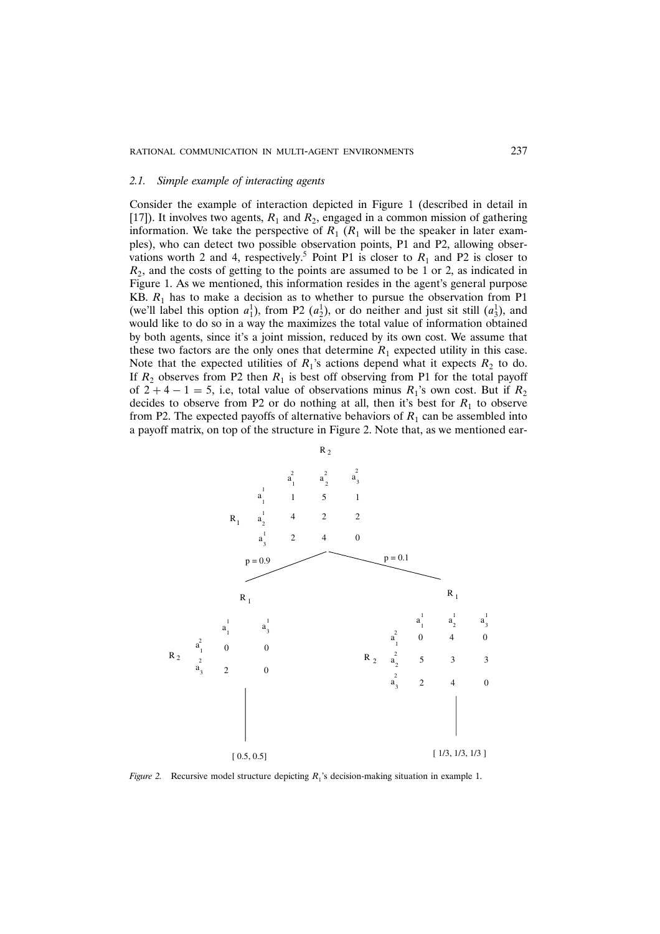#### 2.1. Simple example of interacting agents

Consider the example of interaction depicted in Figure 1 (described in detail in [17]). It involves two agents,  $R_1$  and  $R_2$ , engaged in a common mission of gathering information. We take the perspective of  $R_1$  ( $R_1$  will be the speaker in later examples), who can detect two possible observation points, P1 and P2, allowing observations worth 2 and 4, respectively.<sup>5</sup> Point P1 is closer to  $R_1$  and P2 is closer to  $R<sub>2</sub>$ , and the costs of getting to the points are assumed to be 1 or 2, as indicated in Figure 1. As we mentioned, this information resides in the agent's general purpose KB.  $R_1$  has to make a decision as to whether to pursue the observation from P1 (we'll label this option  $a_1^1$ ), from P2  $(a_2^1)$ , or do neither and just sit still  $(a_3^1)$ , and would like to do so in a way the maximizes the total value of information obtained by both agents, since it's a joint mission, reduced by its own cost. We assume that these two factors are the only ones that determine  $R_1$  expected utility in this case. Note that the expected utilities of  $R_1$ 's actions depend what it expects  $R_2$  to do. If  $R_2$  observes from P2 then  $R_1$  is best off observing from P1 for the total payoff of  $2 + 4 - 1 = 5$ , i.e, total value of observations minus  $R_1$ 's own cost. But if  $R_2$ decides to observe from P2 or do nothing at all, then it's best for  $R_1$  to observe from P2. The expected payoffs of alternative behaviors of  $R_1$  can be assembled into a payoff matrix, on top of the structure in Figure 2. Note that, as we mentioned ear-



Figure 2. Recursive model structure depicting  $R_1$ 's decision-making situation in example 1.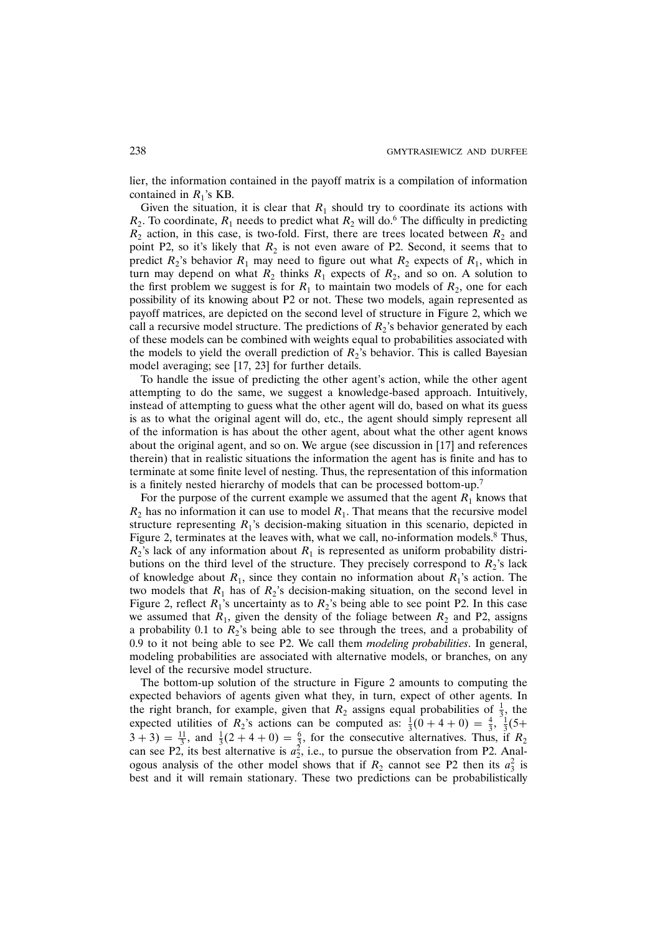lier, the information contained in the payoff matrix is a compilation of information contained in  $R_1$ 's KB.

Given the situation, it is clear that  $R_1$  should try to coordinate its actions with  $R_2$ . To coordinate,  $R_1$  needs to predict what  $R_2$  will do.<sup>6</sup> The difficulty in predicting  $R_2$  action, in this case, is two-fold. First, there are trees located between  $R_2$  and point P2, so it's likely that  $R_2$  is not even aware of P2. Second, it seems that to predict  $R_2$ 's behavior  $R_1$  may need to figure out what  $R_2$  expects of  $R_1$ , which in turn may depend on what  $R_2$  thinks  $R_1$  expects of  $R_2$ , and so on. A solution to the first problem we suggest is for  $R_1$  to maintain two models of  $R_2$ , one for each possibility of its knowing about P2 or not. These two models, again represented as payoff matrices, are depicted on the second level of structure in Figure 2, which we call a recursive model structure. The predictions of  $R_2$ 's behavior generated by each of these models can be combined with weights equal to probabilities associated with the models to yield the overall prediction of  $R_2$ 's behavior. This is called Bayesian model averaging; see [17, 23] for further details.

To handle the issue of predicting the other agent's action, while the other agent attempting to do the same, we suggest a knowledge-based approach. Intuitively, instead of attempting to guess what the other agent will do, based on what its guess is as to what the original agent will do, etc., the agent should simply represent all of the information is has about the other agent, about what the other agent knows about the original agent, and so on. We argue (see discussion in [17] and references therein) that in realistic situations the information the agent has is finite and has to terminate at some finite level of nesting. Thus, the representation of this information is a finitely nested hierarchy of models that can be processed bottom-up.<sup>7</sup>

For the purpose of the current example we assumed that the agent  $R_1$  knows that  $R_2$  has no information it can use to model  $R_1$ . That means that the recursive model structure representing  $R_1$ 's decision-making situation in this scenario, depicted in Figure 2, terminates at the leaves with, what we call, no-information models.<sup>8</sup> Thus,  $R_2$ 's lack of any information about  $R_1$  is represented as uniform probability distributions on the third level of the structure. They precisely correspond to  $R_2$ 's lack of knowledge about  $R_1$ , since they contain no information about  $R_1$ 's action. The two models that  $R_1$  has of  $R_2$ 's decision-making situation, on the second level in Figure 2, reflect  $R_1$ 's uncertainty as to  $R_2$ 's being able to see point P2. In this case we assumed that  $R_1$ , given the density of the foliage between  $R_2$  and P2, assigns a probability 0.1 to  $R_2$ 's being able to see through the trees, and a probability of 0.9 to it not being able to see P2. We call them modeling probabilities. In general, modeling probabilities are associated with alternative models, or branches, on any level of the recursive model structure.

The bottom-up solution of the structure in Figure 2 amounts to computing the expected behaviors of agents given what they, in turn, expect of other agents. In the right branch, for example, given that  $R_2$  assigns equal probabilities of  $\frac{1}{3}$ , the expected utilities of  $R_2$ 's actions can be computed as:  $\frac{1}{3}(0+4+0) = \frac{4}{3}, \frac{1}{3}(5+$  $(3 + 3) = \frac{11}{3}$ , and  $\frac{1}{3}(2 + 4 + 0) = \frac{6}{3}$ , for the consecutive alternatives. Thus, if  $R_2$ can see P2, its best alternative is  $a_2^2$ , i.e., to pursue the observation from P2. Analogous analysis of the other model shows that if  $R_2$  cannot see P2 then its  $a_3^2$  is best and it will remain stationary. These two predictions can be probabilistically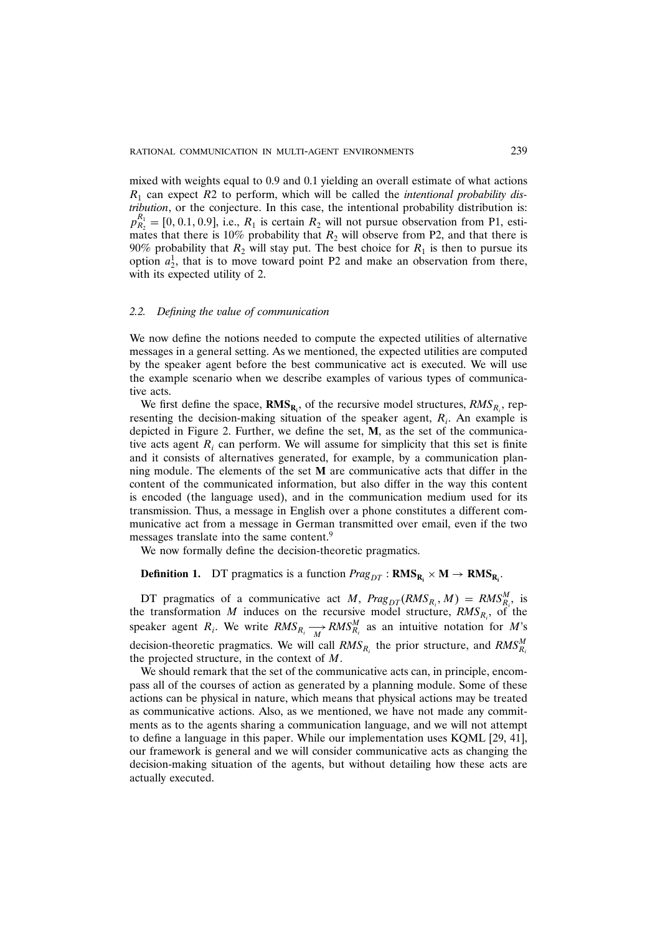mixed with weights equal to 0.9 and 0.1 yielding an overall estimate of what actions  $R_1$  can expect  $R_2$  to perform, which will be called the *intentional probability dis*tribution, or the conjecture. In this case, the intentional probability distribution is:  $p_{R_2}^{R_1} = [0, 0.1, 0.9]$ , i.e.,  $R_1$  is certain  $R_2$  will not pursue observation from P1, estimates that there is 10% probability that  $R_2$  will observe from P2, and that there is 90% probability that  $R_2$  will stay put. The best choice for  $R_1$  is then to pursue its option  $a_2^1$ , that is to move toward point P2 and make an observation from there, with its expected utility of 2.

#### 2.2. Defining the value of communication

We now define the notions needed to compute the expected utilities of alternative messages in a general setting. As we mentioned, the expected utilities are computed by the speaker agent before the best communicative act is executed. We will use the example scenario when we describe examples of various types of communicative acts.

We first define the space,  $RMS_{R_i}$ , of the recursive model structures,  $RMS_{R_i}$ , representing the decision-making situation of the speaker agent,  $R_i$ . An example is depicted in Figure 2. Further, we define the set, M, as the set of the communicative acts agent  $R_i$  can perform. We will assume for simplicity that this set is finite and it consists of alternatives generated, for example, by a communication planning module. The elements of the set M are communicative acts that differ in the content of the communicated information, but also differ in the way this content is encoded (the language used), and in the communication medium used for its transmission. Thus, a message in English over a phone constitutes a different communicative act from a message in German transmitted over email, even if the two messages translate into the same content.<sup>9</sup>

We now formally define the decision-theoretic pragmatics.

# **Definition 1.** DT pragmatics is a function  $\text{Prag}_{DT}$  :  $\text{RMS}_{R_i} \times M \rightarrow \text{RMS}_{R_i}$ .

DT pragmatics of a communicative act M,  $Prag_{DT}(RMS_{R_i}, M) = RMS_{R_i}^M$ , is the transformation M induces on the recursive model structure,  $RMS_{R_i}$ , of the speaker agent  $R_i$ . We write  $RMS_{R_i} \longrightarrow RMS_{R_i}^M$  as an intuitive notation for  $M$ 's decision-theoretic pragmatics. We will call  $RMS_{R_i}$  the prior structure, and  $RMS_{R_i}^M$ the projected structure, in the context of  $M$ .

We should remark that the set of the communicative acts can, in principle, encompass all of the courses of action as generated by a planning module. Some of these actions can be physical in nature, which means that physical actions may be treated as communicative actions. Also, as we mentioned, we have not made any commitments as to the agents sharing a communication language, and we will not attempt to define a language in this paper. While our implementation uses KQML [29, 41], our framework is general and we will consider communicative acts as changing the decision-making situation of the agents, but without detailing how these acts are actually executed.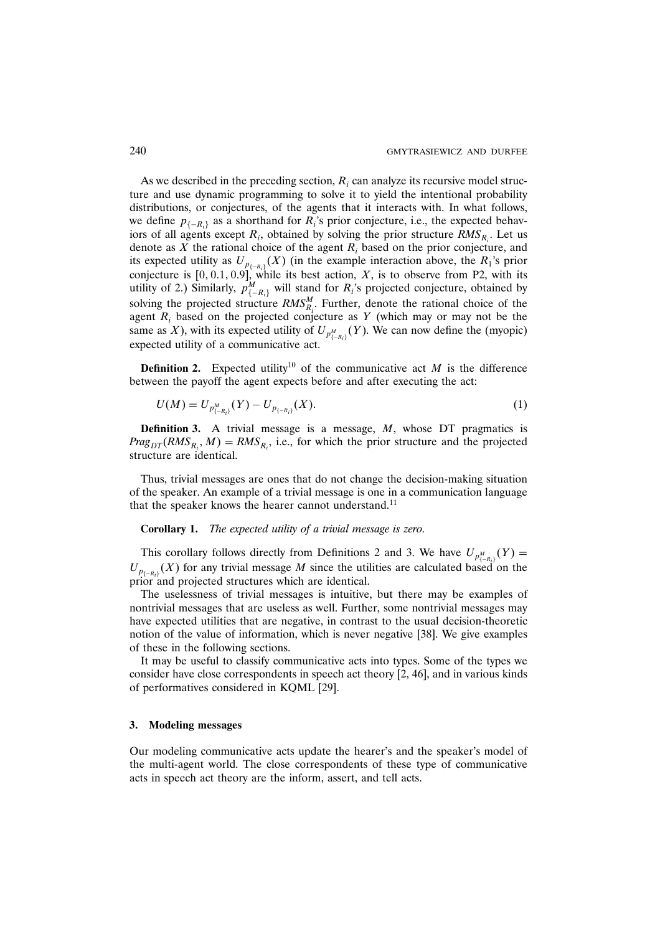As we described in the preceding section,  $R_i$  can analyze its recursive model structure and use dynamic programming to solve it to yield the intentional probability distributions, or conjectures, of the agents that it interacts with. In what follows, we define  $p_{\{-R_i\}}$  as a shorthand for  $R_i$ 's prior conjecture, i.e., the expected behaviors of all agents except  $R_i$ , obtained by solving the prior structure  $RMS_{R_i}$ . Let us denote as X the rational choice of the agent  $R_i$  based on the prior conjecture, and its expected utility as  $U_{p_{\{-R_i\}}}(X)$  (in the example interaction above, the  $R_1$ 's prior conjecture is  $[0, 0.1, 0.9]$ , while its best action, X, is to observe from P2, with its utility of 2.) Similarly,  $p_{\{-R_i\}}^M$  will stand for  $R_i$ 's projected conjecture, obtained by solving the projected structure  $RMS_{R_i}^M$ . Further, denote the rational choice of the agent  $R_i$  based on the projected conjecture as Y (which may or may not be the same as X), with its expected utility of  $U_{p_{\{-R_i\}}^M}(Y)$ . We can now define the (myopic) expected utility of a communicative act.

**Definition 2.** Expected utility<sup>10</sup> of the communicative act  $M$  is the difference between the payoff the agent expects before and after executing the act:

$$
U(M) = U_{p_{\{-R_i\}}^M}(Y) - U_{p_{\{-R_i\}}}(X). \tag{1}
$$

Definition 3. A trivial message is a message, M, whose DT pragmatics is  $Prag_{DT}(RMS_{R_i}, M) = RMS_{R_i}$ , i.e., for which the prior structure and the projected structure are identical.

Thus, trivial messages are ones that do not change the decision-making situation of the speaker. An example of a trivial message is one in a communication language that the speaker knows the hearer cannot understand.<sup>11</sup>

Corollary 1. The expected utility of a trivial message is zero.

This corollary follows directly from Definitions 2 and 3. We have  $U_{p_{\{-R_i\}}^M}(Y) =$  $U_{p_{(-R_i)}}(X)$  for any trivial message M since the utilities are calculated based on the prior and projected structures which are identical.

The uselessness of trivial messages is intuitive, but there may be examples of nontrivial messages that are useless as well. Further, some nontrivial messages may have expected utilities that are negative, in contrast to the usual decision-theoretic notion of the value of information, which is never negative [38]. We give examples of these in the following sections.

It may be useful to classify communicative acts into types. Some of the types we consider have close correspondents in speech act theory [2, 46], and in various kinds of performatives considered in KQML [29].

### 3. Modeling messages

Our modeling communicative acts update the hearer's and the speaker's model of the multi-agent world. The close correspondents of these type of communicative acts in speech act theory are the inform, assert, and tell acts.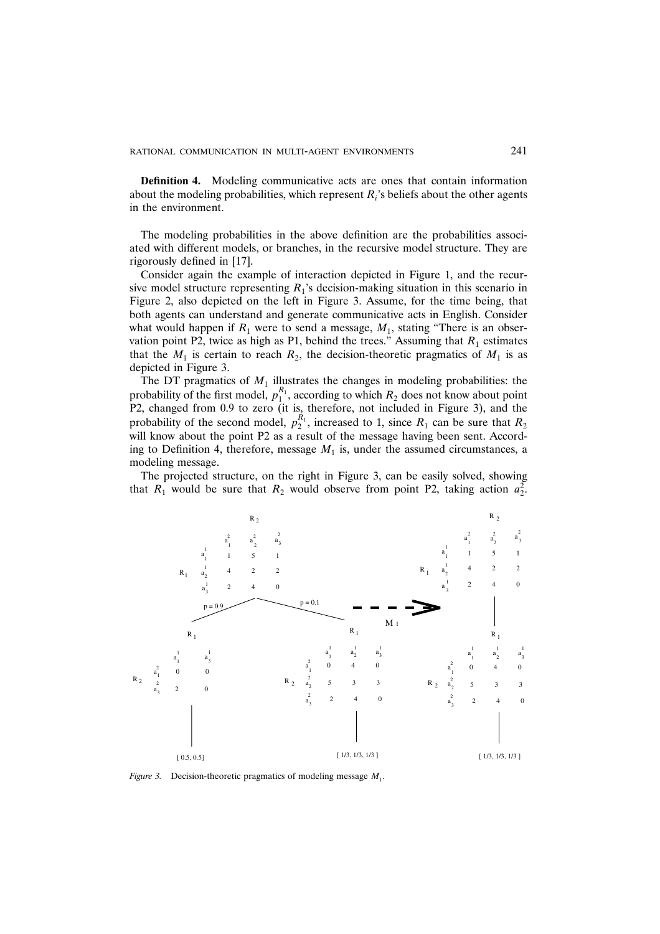Definition 4. Modeling communicative acts are ones that contain information about the modeling probabilities, which represent  $R_i$ 's beliefs about the other agents in the environment.

The modeling probabilities in the above definition are the probabilities associated with different models, or branches, in the recursive model structure. They are rigorously defined in [17].

Consider again the example of interaction depicted in Figure 1, and the recursive model structure representing  $R_1$ 's decision-making situation in this scenario in Figure 2, also depicted on the left in Figure 3. Assume, for the time being, that both agents can understand and generate communicative acts in English. Consider what would happen if  $R_1$  were to send a message,  $M_1$ , stating "There is an observation point P2, twice as high as P1, behind the trees." Assuming that  $R_1$  estimates that the  $M_1$  is certain to reach  $R_2$ , the decision-theoretic pragmatics of  $M_1$  is as depicted in Figure 3.

The DT pragmatics of  $M_1$  illustrates the changes in modeling probabilities: the probability of the first model,  $p_1^{R_1}$ , according to which  $R_2$  does not know about point P2, changed from 0.9 to zero (it is, therefore, not included in Figure 3), and the probability of the second model,  $p_2^{R_1}$ , increased to 1, since  $R_1$  can be sure that  $R_2$ will know about the point P2 as a result of the message having been sent. According to Definition 4, therefore, message  $M_1$  is, under the assumed circumstances, a modeling message.

The projected structure, on the right in Figure 3, can be easily solved, showing that  $R_1$  would be sure that  $R_2$  would observe from point P2, taking action  $a_2^2$ .



Figure 3. Decision-theoretic pragmatics of modeling message  $M_1$ .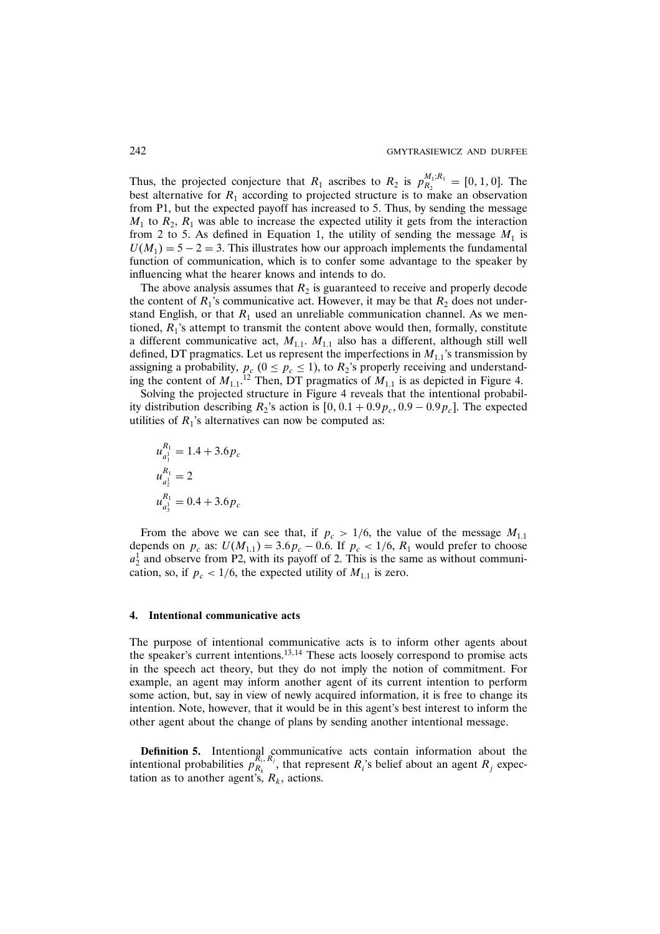Thus, the projected conjecture that  $R_1$  ascribes to  $R_2$  is  $p_{R_2}^{M_1;R_1} = [0, 1, 0]$ . The best alternative for  $R_1$  according to projected structure is to make an observation from P1, but the expected payoff has increased to 5. Thus, by sending the message  $M_1$  to  $R_2$ ,  $R_1$  was able to increase the expected utility it gets from the interaction from 2 to 5. As defined in Equation 1, the utility of sending the message  $M_1$  is  $U(M_1) = 5 - 2 = 3$ . This illustrates how our approach implements the fundamental function of communication, which is to confer some advantage to the speaker by influencing what the hearer knows and intends to do.

The above analysis assumes that  $R_2$  is guaranteed to receive and properly decode the content of  $R_1$ 's communicative act. However, it may be that  $R_2$  does not understand English, or that  $R_1$  used an unreliable communication channel. As we mentioned,  $R_1$ 's attempt to transmit the content above would then, formally, constitute a different communicative act,  $M_{1,1}$ .  $M_{1,1}$  also has a different, although still well defined, DT pragmatics. Let us represent the imperfections in  $M_{1,1}$ 's transmission by assigning a probability,  $p_c$  ( $0 \le p_c \le 1$ ), to  $R_2$ 's properly receiving and understanding the content of  $M_{1,1}$ .<sup>12</sup> Then, DT pragmatics of  $M_{1,1}$  is as depicted in Figure 4.

Solving the projected structure in Figure 4 reveals that the intentional probability distribution describing  $R_2$ 's action is  $[0, 0.1 + 0.9p_c, 0.9 - 0.9p_c]$ . The expected utilities of  $R_1$ 's alternatives can now be computed as:

$$
u_{a_1^1}^{R_1} = 1.4 + 3.6 p_c
$$
  

$$
u_{a_2^1}^{R_1} = 2
$$
  

$$
u_{a_3^1}^{R_1} = 0.4 + 3.6 p_c
$$

From the above we can see that, if  $p_c > 1/6$ , the value of the message  $M_{1,1}$ depends on  $p_c$  as:  $U(M_{1,1}) = 3.6p_c - 0.6$ . If  $p_c < 1/6$ ,  $R_1$  would prefer to choose  $a_2^1$  and observe from P2, with its payoff of 2. This is the same as without communication, so, if  $p_c < 1/6$ , the expected utility of  $M_{1,1}$  is zero.

#### 4. Intentional communicative acts

The purpose of intentional communicative acts is to inform other agents about the speaker's current intentions.<sup>13</sup><sup>14</sup> These acts loosely correspond to promise acts in the speech act theory, but they do not imply the notion of commitment. For example, an agent may inform another agent of its current intention to perform some action, but, say in view of newly acquired information, it is free to change its intention. Note, however, that it would be in this agent's best interest to inform the other agent about the change of plans by sending another intentional message.

**Definition 5.** Intentional communicative acts contain information about the intentional probabilities  $p_{R_k}^{R_i, R_j}$ , that represent  $R_i$ 's belief about an agent  $R_j$  expectation as to another agent's,  $R_k$ , actions.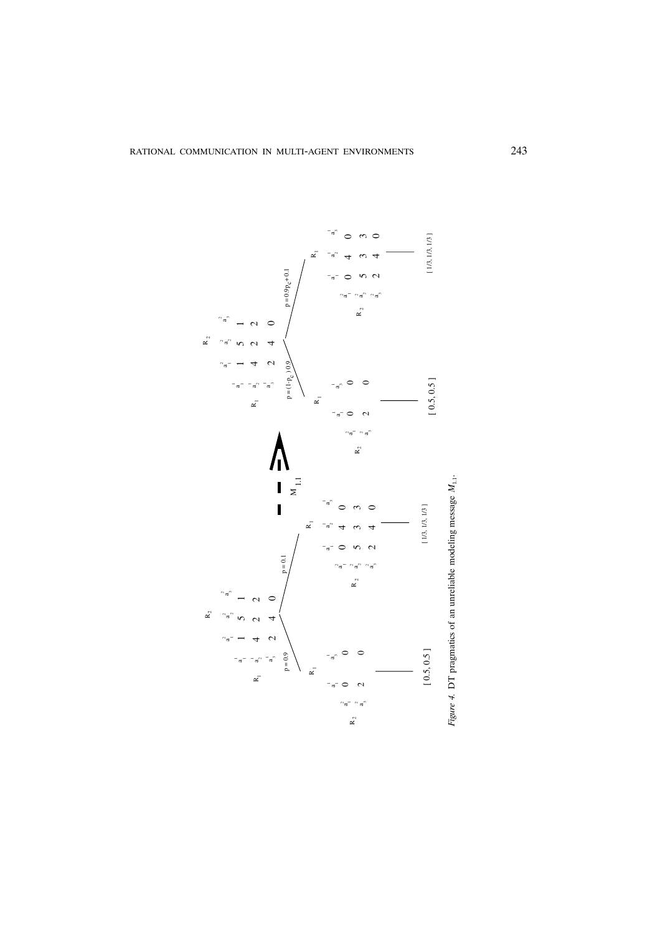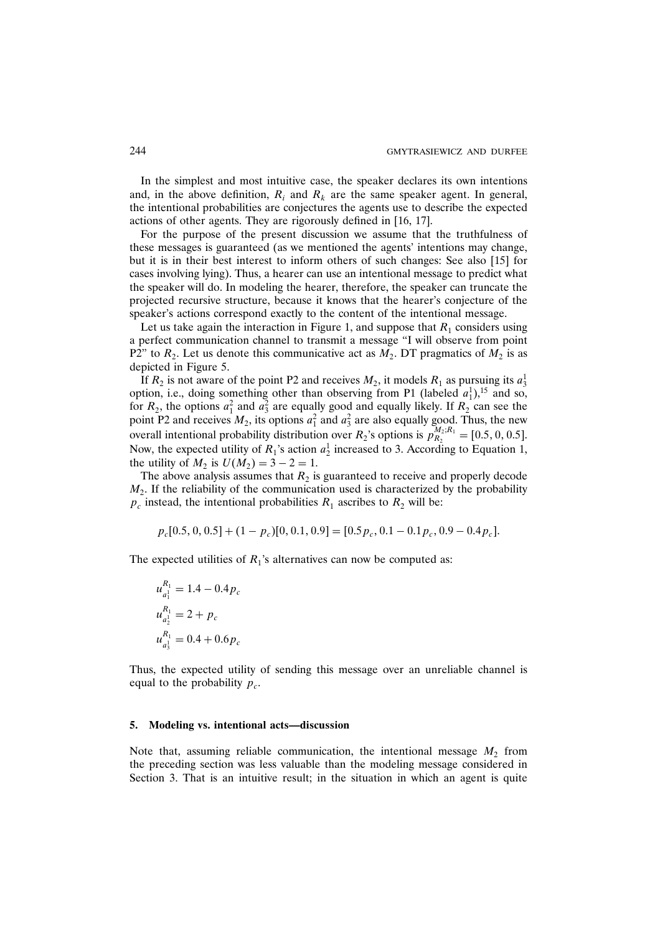In the simplest and most intuitive case, the speaker declares its own intentions and, in the above definition,  $R_i$  and  $R_k$  are the same speaker agent. In general, the intentional probabilities are conjectures the agents use to describe the expected actions of other agents. They are rigorously defined in [16, 17].

For the purpose of the present discussion we assume that the truthfulness of these messages is guaranteed (as we mentioned the agents' intentions may change, but it is in their best interest to inform others of such changes: See also [15] for cases involving lying). Thus, a hearer can use an intentional message to predict what the speaker will do. In modeling the hearer, therefore, the speaker can truncate the projected recursive structure, because it knows that the hearer's conjecture of the speaker's actions correspond exactly to the content of the intentional message.

Let us take again the interaction in Figure 1, and suppose that  $R_1$  considers using a perfect communication channel to transmit a message "I will observe from point P2" to  $R_2$ . Let us denote this communicative act as  $M_2$ . DT pragmatics of  $M_2$  is as depicted in Figure 5.

If  $R_2$  is not aware of the point P2 and receives  $M_2$ , it models  $R_1$  as pursuing its  $a_3^1$ option, i.e., doing something other than observing from P1 (labeled  $a_1^1$ ),<sup>15</sup> and so, for  $R_2$ , the options  $a_1^2$  and  $a_3^2$  are equally good and equally likely. If  $R_2$  can see the point P2 and receives  $M_2$ , its options  $a_1^2$  and  $a_3^2$  are also equally good. Thus, the new overall intentional probability distribution over  $R_2$ 's options is  $p_{R_2}^{M_2;R_1} = [0.5, 0, 0.5]$ . Now, the expected utility of  $R_1$ 's action  $a_2$ <sup>1</sup> increased to 3. According to Equation 1, the utility of  $M_2$  is  $U(M_2) = 3 - 2 = 1$ .

The above analysis assumes that  $R_2$  is guaranteed to receive and properly decode  $M<sub>2</sub>$ . If the reliability of the communication used is characterized by the probability  $p_c$  instead, the intentional probabilities  $R_1$  ascribes to  $R_2$  will be:

$$
p_c[0.5, 0, 0.5] + (1 - p_c)[0, 0.1, 0.9] = [0.5p_c, 0.1 - 0.1p_c, 0.9 - 0.4p_c].
$$

The expected utilities of  $R_1$ 's alternatives can now be computed as:

$$
u_{a_1^1}^{R_1} = 1.4 - 0.4 p_c
$$
  

$$
u_{a_2^1}^{R_1} = 2 + p_c
$$
  

$$
u_{a_3^1}^{R_1} = 0.4 + 0.6 p_c
$$

Thus, the expected utility of sending this message over an unreliable channel is equal to the probability  $p_c$ .

#### 5. Modeling vs. intentional acts—discussion

Note that, assuming reliable communication, the intentional message  $M_2$  from the preceding section was less valuable than the modeling message considered in Section 3. That is an intuitive result; in the situation in which an agent is quite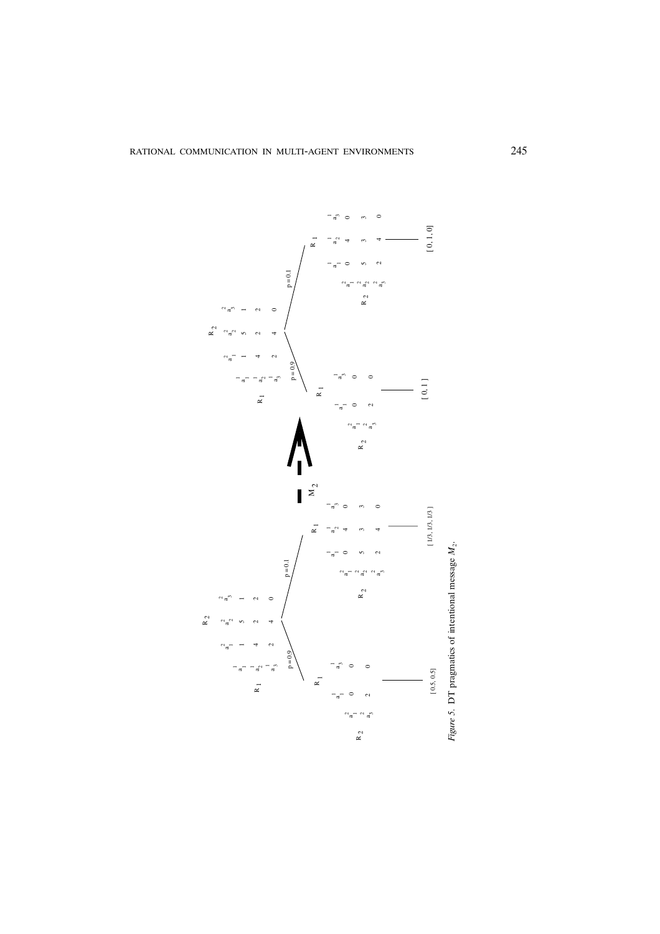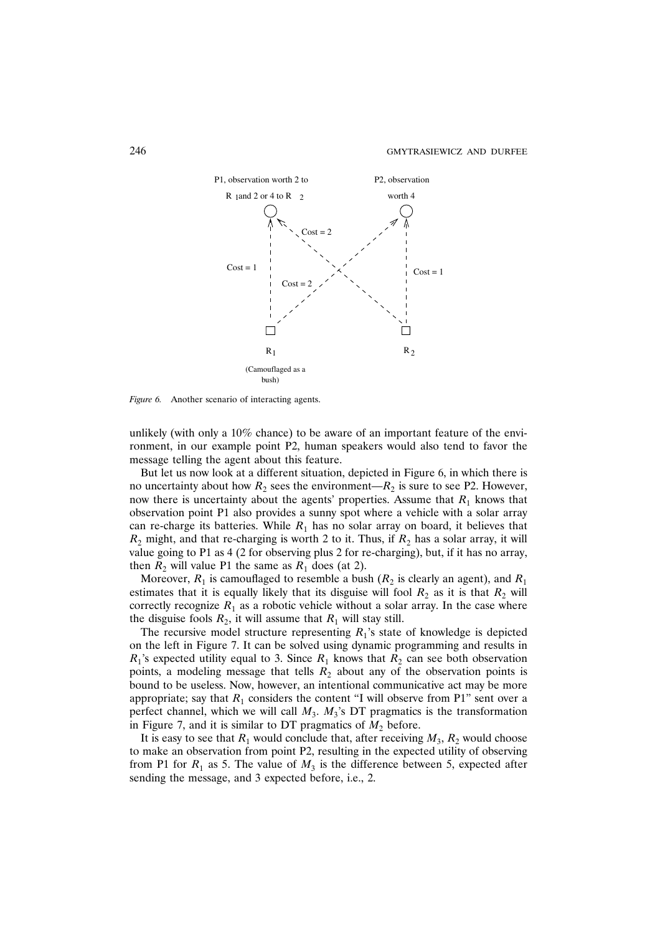

Figure 6. Another scenario of interacting agents.

unlikely (with only a 10% chance) to be aware of an important feature of the environment, in our example point P2, human speakers would also tend to favor the message telling the agent about this feature.

But let us now look at a different situation, depicted in Figure 6, in which there is no uncertainty about how  $R_2$  sees the environment— $R_2$  is sure to see P2. However, now there is uncertainty about the agents' properties. Assume that  $R_1$  knows that observation point P1 also provides a sunny spot where a vehicle with a solar array can re-charge its batteries. While  $R_1$  has no solar array on board, it believes that  $R_2$  might, and that re-charging is worth 2 to it. Thus, if  $R_2$  has a solar array, it will value going to P1 as 4 (2 for observing plus 2 for re-charging), but, if it has no array, then  $R_2$  will value P1 the same as  $R_1$  does (at 2).

Moreover,  $R_1$  is camouflaged to resemble a bush ( $R_2$  is clearly an agent), and  $R_1$ estimates that it is equally likely that its disguise will fool  $R_2$  as it is that  $R_2$  will correctly recognize  $R_1$  as a robotic vehicle without a solar array. In the case where the disguise fools  $R_2$ , it will assume that  $R_1$  will stay still.

The recursive model structure representing  $R_1$ 's state of knowledge is depicted on the left in Figure 7. It can be solved using dynamic programming and results in  $R_1$ 's expected utility equal to 3. Since  $R_1$  knows that  $R_2$  can see both observation points, a modeling message that tells  $R_2$  about any of the observation points is bound to be useless. Now, however, an intentional communicative act may be more appropriate; say that  $R_1$  considers the content "I will observe from P1" sent over a perfect channel, which we will call  $M_3$ .  $M_3$ 's DT pragmatics is the transformation in Figure 7, and it is similar to DT pragmatics of  $M_2$  before.

It is easy to see that  $R_1$  would conclude that, after receiving  $M_3$ ,  $R_2$  would choose to make an observation from point P2, resulting in the expected utility of observing from P1 for  $R_1$  as 5. The value of  $M_3$  is the difference between 5, expected after sending the message, and 3 expected before, i.e., 2.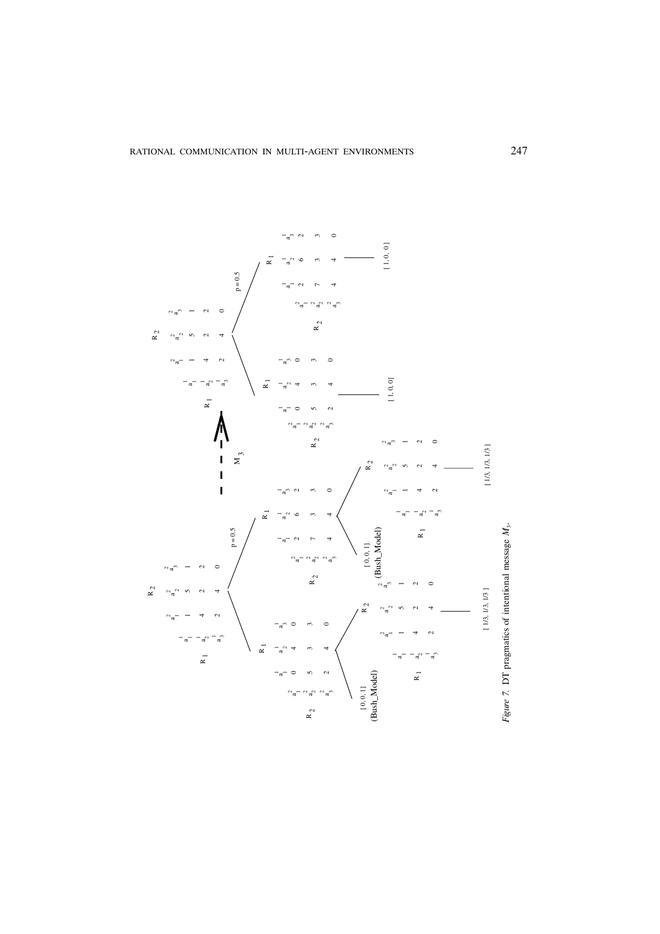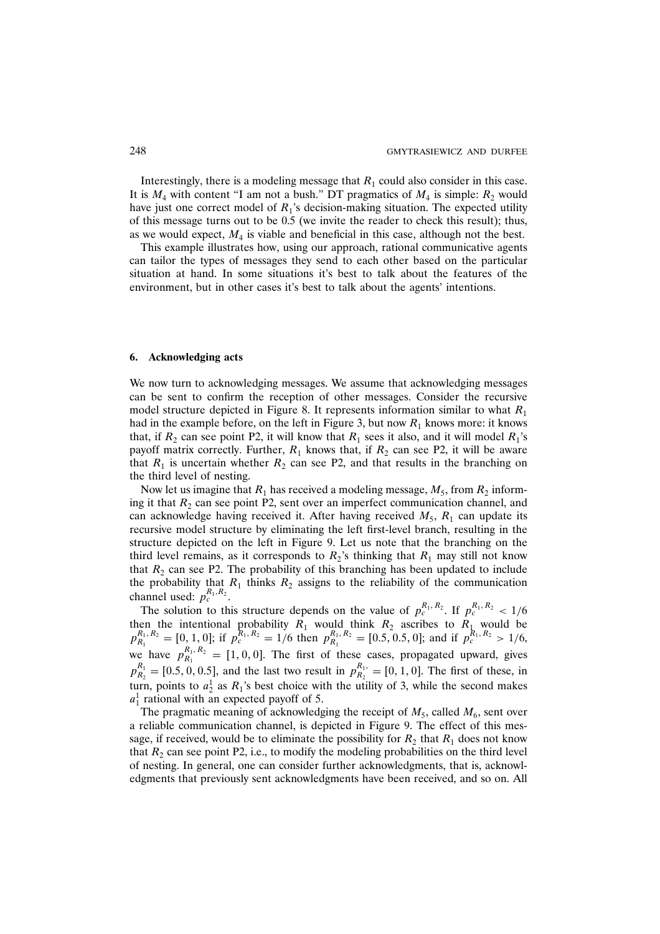Interestingly, there is a modeling message that  $R_1$  could also consider in this case. It is  $M_4$  with content "I am not a bush." DT pragmatics of  $M_4$  is simple:  $R_2$  would have just one correct model of  $R_1$ 's decision-making situation. The expected utility of this message turns out to be 0.5 (we invite the reader to check this result); thus, as we would expect,  $M_4$  is viable and beneficial in this case, although not the best.

This example illustrates how, using our approach, rational communicative agents can tailor the types of messages they send to each other based on the particular situation at hand. In some situations it's best to talk about the features of the environment, but in other cases it's best to talk about the agents' intentions.

### 6. Acknowledging acts

We now turn to acknowledging messages. We assume that acknowledging messages can be sent to confirm the reception of other messages. Consider the recursive model structure depicted in Figure 8. It represents information similar to what  $R_1$ had in the example before, on the left in Figure 3, but now  $R_1$  knows more: it knows that, if  $R_2$  can see point P2, it will know that  $R_1$  sees it also, and it will model  $R_1$ 's payoff matrix correctly. Further,  $R_1$  knows that, if  $R_2$  can see P2, it will be aware that  $R_1$  is uncertain whether  $R_2$  can see P2, and that results in the branching on the third level of nesting.

Now let us imagine that  $R_1$  has received a modeling message,  $M_5$ , from  $R_2$  informing it that  $R_2$  can see point P2, sent over an imperfect communication channel, and can acknowledge having received it. After having received  $M_5$ ,  $R_1$  can update its recursive model structure by eliminating the left first-level branch, resulting in the structure depicted on the left in Figure 9. Let us note that the branching on the third level remains, as it corresponds to  $R_2$ 's thinking that  $R_1$  may still not know that  $R_2$  can see P2. The probability of this branching has been updated to include the probability that  $R_1$  thinks  $R_2$  assigns to the reliability of the communication channel used:  $p_c^{R_1, R_2}$ .

The solution to this structure depends on the value of  $p_c^{R_1, R_2}$ . If  $p_c^{R_1, R_2} < 1/6$ then the intentional probability  $R_1$  would think  $R_2$  ascribes to  $R_1$  would be  $p_{R_1}^{R_1, R_2} = [0, 1, 0];$  if  $p_c^{R_1, R_2} = 1/6$  then  $p_{R_1}^{R_1, R_2} = [0.5, 0.5, 0];$  and if  $p_c^{R_1, R_2} > 1/6$ , we have  $p_{R_1}^{R_1, R_2} = [1, 0, 0]$ . The first of these cases, propagated upward, gives  $p_{R_2}^{R_1} = [0.5, 0, 0.5]$ , and the last two result in  $p_{R_2}^{R_1} = [0, 1, 0]$ . The first of these, in turn, points to  $a_2^1$  as  $R_1$ 's best choice with the utility of 3, while the second makes  $a_1$ <sup>1</sup> rational with an expected payoff of 5.

The pragmatic meaning of acknowledging the receipt of  $M_5$ , called  $M_6$ , sent over a reliable communication channel, is depicted in Figure 9. The effect of this message, if received, would be to eliminate the possibility for  $R_2$  that  $R_1$  does not know that  $R_2$  can see point P2, i.e., to modify the modeling probabilities on the third level of nesting. In general, one can consider further acknowledgments, that is, acknowledgments that previously sent acknowledgments have been received, and so on. All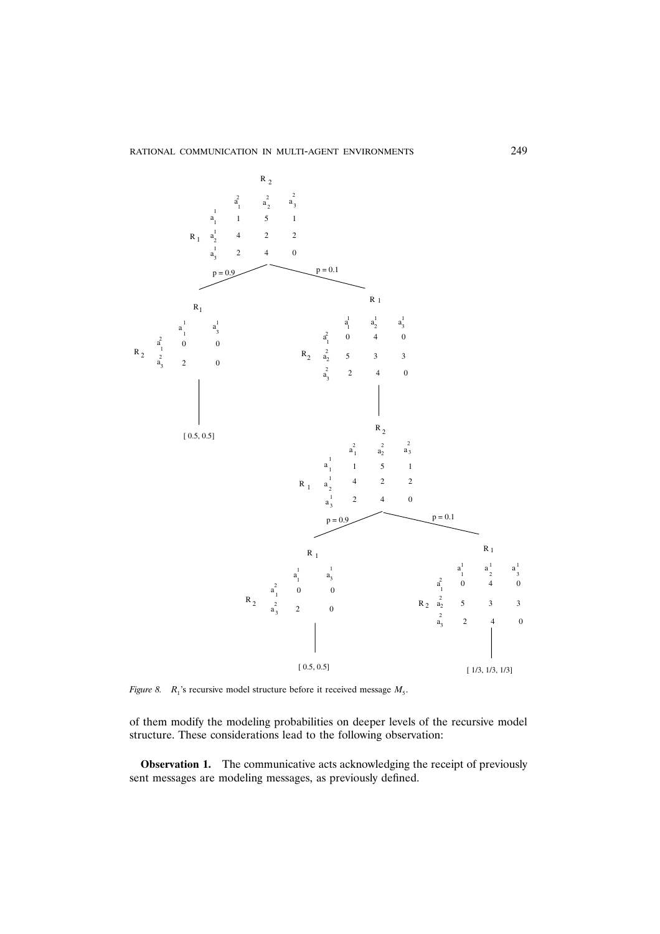

Figure 8.  $R_1$ 's recursive model structure before it received message  $M_5$ .

of them modify the modeling probabilities on deeper levels of the recursive model structure. These considerations lead to the following observation:

Observation 1. The communicative acts acknowledging the receipt of previously sent messages are modeling messages, as previously defined.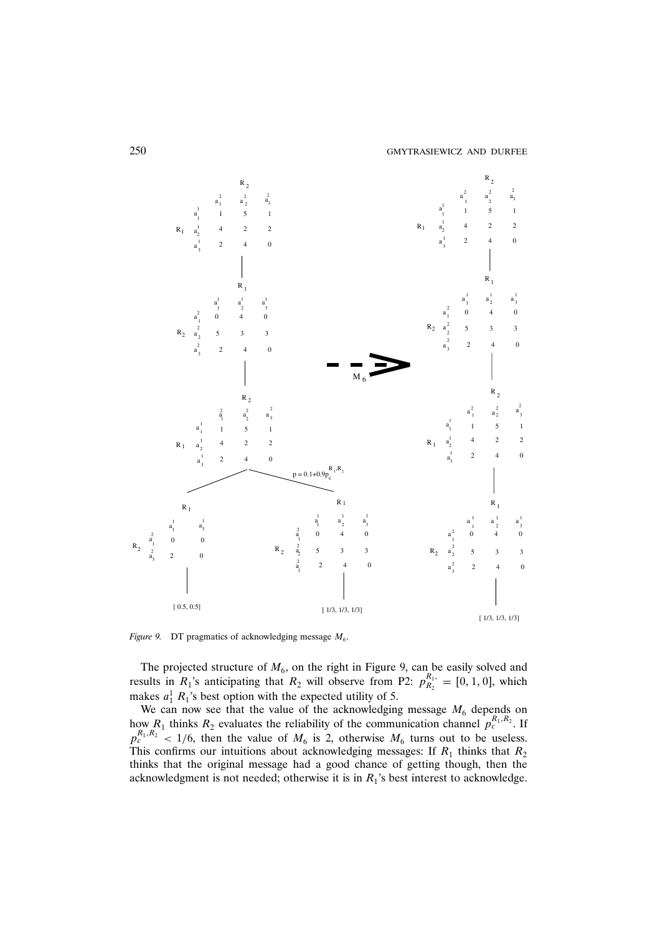

Figure 9. DT pragmatics of acknowledging message  $M_6$ .

The projected structure of  $M_6$ , on the right in Figure 9, can be easily solved and results in  $R_1$ 's anticipating that  $R_2$  will observe from P2:  $p_{R_2}^{R_1} = [0, 1, 0]$ , which makes  $a_1^1 R_1$ 's best option with the expected utility of 5.

We can now see that the value of the acknowledging message  $M_6$  depends on how  $R_1$  thinks  $R_2$  evaluates the reliability of the communication channel  $p_c^{R_1,R_2}$ . If  $p_c^{R_1,R_2}$  < 1/6, then the value of  $M_6$  is 2, otherwise  $M_6$  turns out to be useless. This confirms our intuitions about acknowledging messages: If  $R_1$  thinks that  $R_2$ thinks that the original message had a good chance of getting though, then the acknowledgment is not needed; otherwise it is in  $R_1$ 's best interest to acknowledge.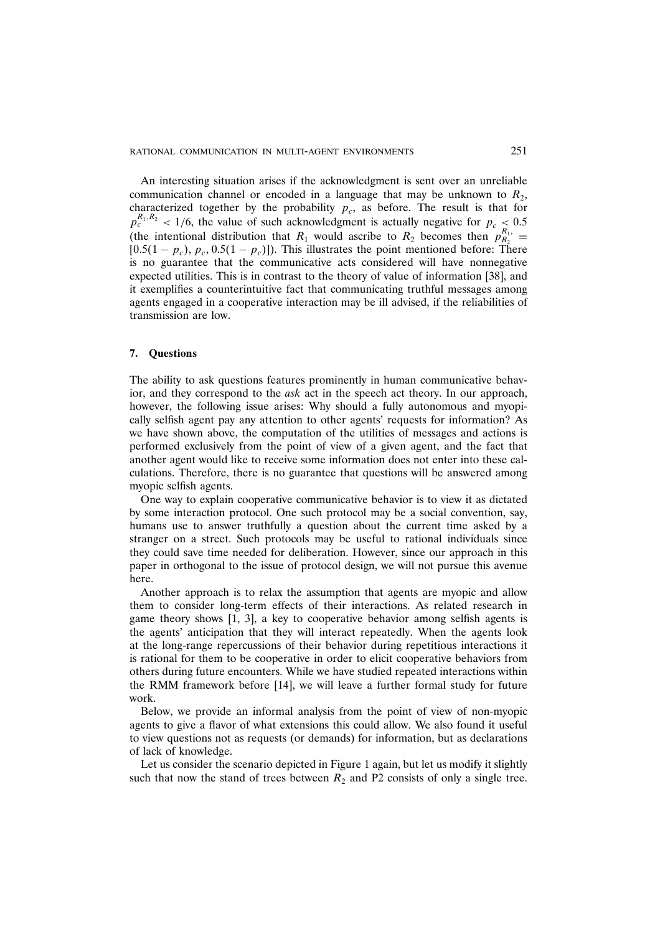An interesting situation arises if the acknowledgment is sent over an unreliable communication channel or encoded in a language that may be unknown to  $R<sub>2</sub>$ , characterized together by the probability  $p_c$ , as before. The result is that for  $p_c^{R_1,R_2}$  < 1/6, the value of such acknowledgment is actually negative for  $p_c \le 0.5$ (the intentional distribution that  $R_1$  would ascribe to  $R_2$  becomes then  $p_I^f$  $\frac{R_1}{R_2} =$ [0.5(1 –  $p_c$ ),  $p_c$ , 0.5(1 –  $p_c$ )]). This illustrates the point mentioned before: There is no guarantee that the communicative acts considered will have nonnegative expected utilities. This is in contrast to the theory of value of information [38], and it exemplifies a counterintuitive fact that communicating truthful messages among agents engaged in a cooperative interaction may be ill advised, if the reliabilities of transmission are low.

#### 7. Questions

The ability to ask questions features prominently in human communicative behavior, and they correspond to the ask act in the speech act theory. In our approach, however, the following issue arises: Why should a fully autonomous and myopically selfish agent pay any attention to other agents' requests for information? As we have shown above, the computation of the utilities of messages and actions is performed exclusively from the point of view of a given agent, and the fact that another agent would like to receive some information does not enter into these calculations. Therefore, there is no guarantee that questions will be answered among myopic selfish agents.

One way to explain cooperative communicative behavior is to view it as dictated by some interaction protocol. One such protocol may be a social convention, say, humans use to answer truthfully a question about the current time asked by a stranger on a street. Such protocols may be useful to rational individuals since they could save time needed for deliberation. However, since our approach in this paper in orthogonal to the issue of protocol design, we will not pursue this avenue here.

Another approach is to relax the assumption that agents are myopic and allow them to consider long-term effects of their interactions. As related research in game theory shows [1, 3], a key to cooperative behavior among selfish agents is the agents' anticipation that they will interact repeatedly. When the agents look at the long-range repercussions of their behavior during repetitious interactions it is rational for them to be cooperative in order to elicit cooperative behaviors from others during future encounters. While we have studied repeated interactions within the RMM framework before [14], we will leave a further formal study for future work.

Below, we provide an informal analysis from the point of view of non-myopic agents to give a flavor of what extensions this could allow. We also found it useful to view questions not as requests (or demands) for information, but as declarations of lack of knowledge.

Let us consider the scenario depicted in Figure 1 again, but let us modify it slightly such that now the stand of trees between  $R_2$  and P2 consists of only a single tree.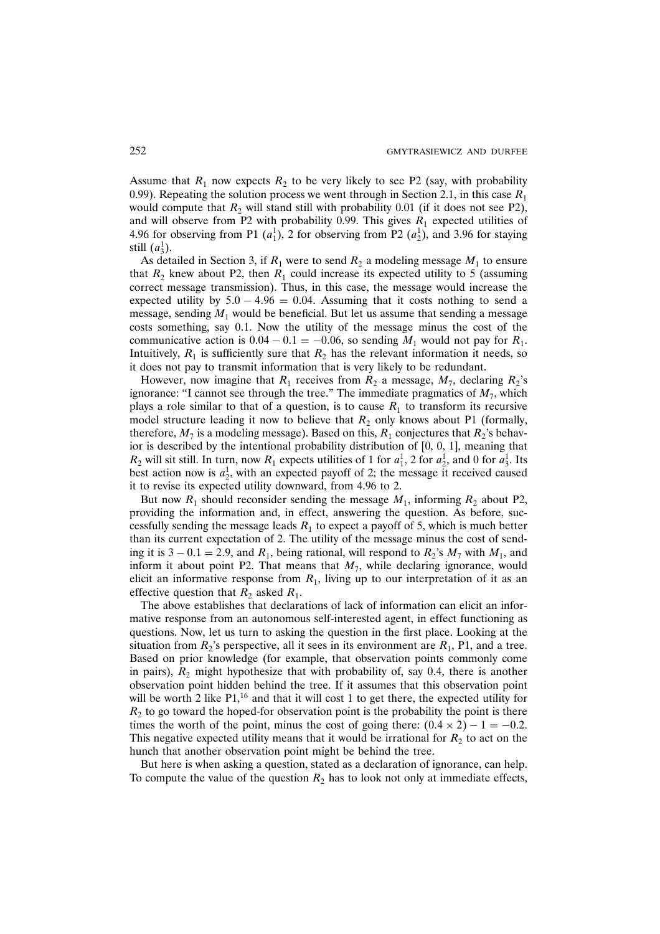Assume that  $R_1$  now expects  $R_2$  to be very likely to see P2 (say, with probability 0.99). Repeating the solution process we went through in Section 2.1, in this case  $R_1$ would compute that  $R_2$  will stand still with probability 0.01 (if it does not see P2), and will observe from P2 with probability 0.99. This gives  $R_1$  expected utilities of 4.96 for observing from P1  $(a_1^1)$ , 2 for observing from P2  $(a_2^1)$ , and 3.96 for staying still  $(a_3^1)$ .

As detailed in Section 3, if  $R_1$  were to send  $R_2$  a modeling message  $M_1$  to ensure that  $R_2$  knew about P2, then  $R_1$  could increase its expected utility to 5 (assuming correct message transmission). Thus, in this case, the message would increase the expected utility by  $5.0 - 4.96 = 0.04$ . Assuming that it costs nothing to send a message, sending  $M_1$  would be beneficial. But let us assume that sending a message costs something, say 01. Now the utility of the message minus the cost of the communicative action is  $0.04 - 0.1 = -0.06$ , so sending  $M_1$  would not pay for  $R_1$ . Intuitively,  $R_1$  is sufficiently sure that  $R_2$  has the relevant information it needs, so it does not pay to transmit information that is very likely to be redundant.

However, now imagine that  $R_1$  receives from  $R_2$  a message,  $M_7$ , declaring  $R_2$ 's ignorance: "I cannot see through the tree." The immediate pragmatics of  $M_7$ , which plays a role similar to that of a question, is to cause  $R_1$  to transform its recursive model structure leading it now to believe that  $R_2$  only knows about P1 (formally, therefore,  $M_7$  is a modeling message). Based on this,  $R_1$  conjectures that  $R_2$ 's behavior is described by the intentional probability distribution of [0, 0, 1], meaning that  $R_2$  will sit still. In turn, now  $R_1$  expects utilities of 1 for  $a_1^1$ , 2 for  $a_2^1$ , and 0 for  $a_3^1$ . Its best action now is  $a_2^1$ , with an expected payoff of 2; the message it received caused it to revise its expected utility downward, from 4.96 to 2.

But now  $R_1$  should reconsider sending the message  $M_1$ , informing  $R_2$  about P2, providing the information and, in effect, answering the question. As before, successfully sending the message leads  $R_1$  to expect a payoff of 5, which is much better than its current expectation of 2. The utility of the message minus the cost of sending it is  $3 - 0.1 = 2.9$ , and  $R_1$ , being rational, will respond to  $R_2$ 's  $M_7$  with  $M_1$ , and inform it about point P2. That means that  $M_7$ , while declaring ignorance, would elicit an informative response from  $R_1$ , living up to our interpretation of it as an effective question that  $R_2$  asked  $R_1$ .

The above establishes that declarations of lack of information can elicit an informative response from an autonomous self-interested agent, in effect functioning as questions. Now, let us turn to asking the question in the first place. Looking at the situation from  $R_2$ 's perspective, all it sees in its environment are  $R_1$ , P1, and a tree. Based on prior knowledge (for example, that observation points commonly come in pairs),  $R_2$  might hypothesize that with probability of, say 0.4, there is another observation point hidden behind the tree. If it assumes that this observation point will be worth 2 like P1,<sup>16</sup> and that it will cost 1 to get there, the expected utility for  $R<sub>2</sub>$  to go toward the hoped-for observation point is the probability the point is there times the worth of the point, minus the cost of going there:  $(0.4 \times 2) - 1 = -0.2$ . This negative expected utility means that it would be irrational for  $R_2$  to act on the hunch that another observation point might be behind the tree.

But here is when asking a question, stated as a declaration of ignorance, can help. To compute the value of the question  $R_2$  has to look not only at immediate effects,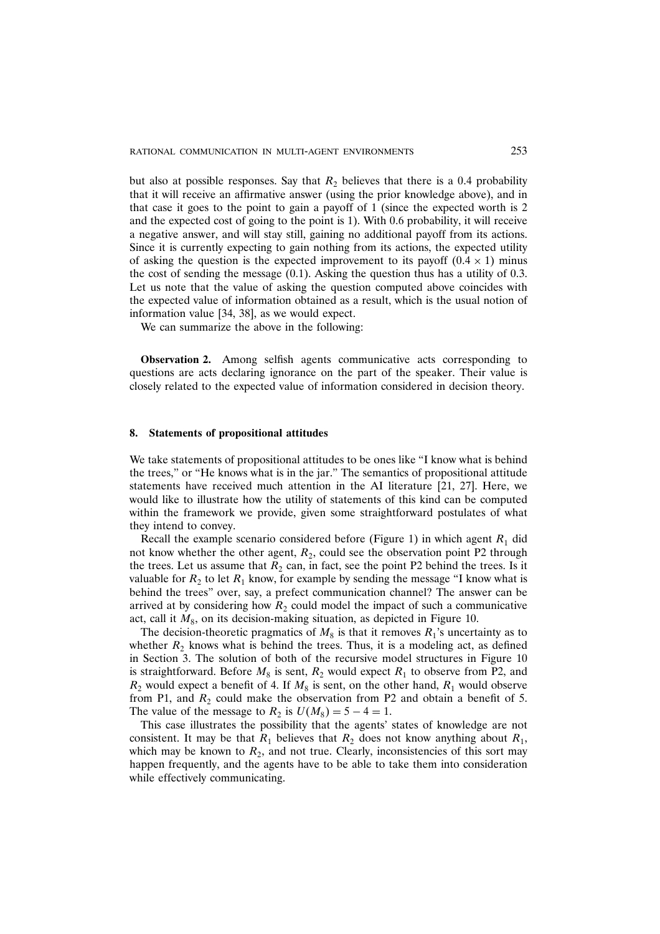but also at possible responses. Say that  $R_2$  believes that there is a 0.4 probability that it will receive an affirmative answer (using the prior knowledge above), and in that case it goes to the point to gain a payoff of 1 (since the expected worth is 2 and the expected cost of going to the point is 1). With 06 probability, it will receive a negative answer, and will stay still, gaining no additional payoff from its actions. Since it is currently expecting to gain nothing from its actions, the expected utility of asking the question is the expected improvement to its payoff  $(0.4 \times 1)$  minus the cost of sending the message  $(0.1)$ . Asking the question thus has a utility of 0.3. Let us note that the value of asking the question computed above coincides with the expected value of information obtained as a result, which is the usual notion of information value [34, 38], as we would expect.

We can summarize the above in the following:

Observation 2. Among selfish agents communicative acts corresponding to questions are acts declaring ignorance on the part of the speaker. Their value is closely related to the expected value of information considered in decision theory.

#### 8. Statements of propositional attitudes

We take statements of propositional attitudes to be ones like "I know what is behind the trees," or "He knows what is in the jar." The semantics of propositional attitude statements have received much attention in the AI literature [21, 27]. Here, we would like to illustrate how the utility of statements of this kind can be computed within the framework we provide, given some straightforward postulates of what they intend to convey.

Recall the example scenario considered before (Figure 1) in which agent  $R_1$  did not know whether the other agent,  $R_2$ , could see the observation point P2 through the trees. Let us assume that  $R_2$  can, in fact, see the point P2 behind the trees. Is it valuable for  $R_2$  to let  $R_1$  know, for example by sending the message "I know what is behind the trees" over, say, a prefect communication channel? The answer can be arrived at by considering how  $R_2$  could model the impact of such a communicative act, call it  $M_8$ , on its decision-making situation, as depicted in Figure 10.

The decision-theoretic pragmatics of  $M_8$  is that it removes  $R_1$ 's uncertainty as to whether  $R_2$  knows what is behind the trees. Thus, it is a modeling act, as defined in Section 3. The solution of both of the recursive model structures in Figure 10 is straightforward. Before  $M_8$  is sent,  $R_2$  would expect  $R_1$  to observe from P2, and  $R_2$  would expect a benefit of 4. If  $M_8$  is sent, on the other hand,  $R_1$  would observe from P1, and  $R_2$  could make the observation from P2 and obtain a benefit of 5. The value of the message to  $R_2$  is  $U(M_8) = 5 - 4 = 1$ .

This case illustrates the possibility that the agents' states of knowledge are not consistent. It may be that  $R_1$  believes that  $R_2$  does not know anything about  $R_1$ , which may be known to  $R_2$ , and not true. Clearly, inconsistencies of this sort may happen frequently, and the agents have to be able to take them into consideration while effectively communicating.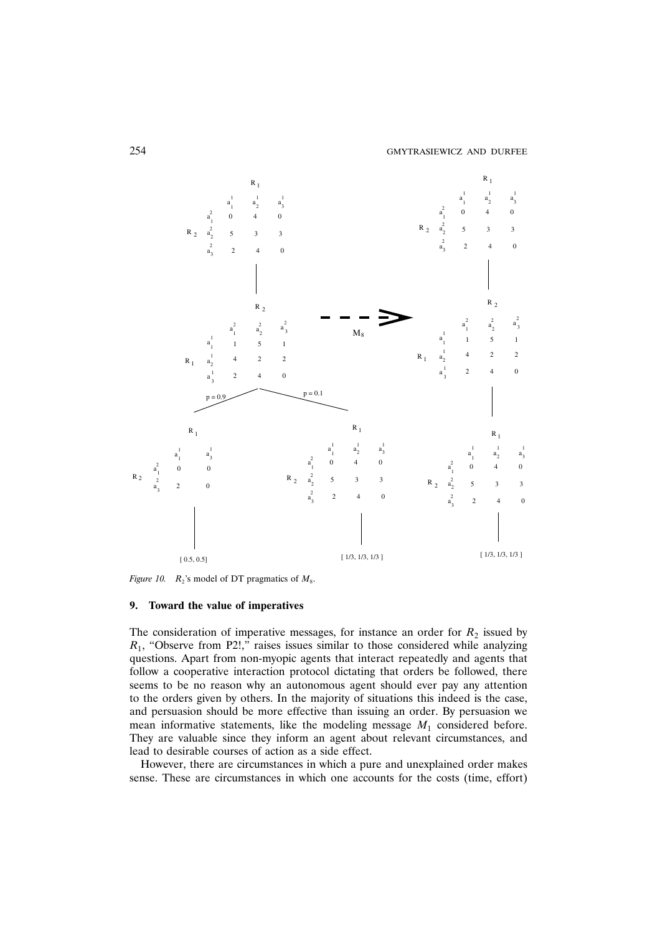

Figure 10.  $R_2$ 's model of DT pragmatics of  $M_8$ .

#### 9. Toward the value of imperatives

The consideration of imperative messages, for instance an order for  $R_2$  issued by  $R_1$ , "Observe from P2!," raises issues similar to those considered while analyzing questions. Apart from non-myopic agents that interact repeatedly and agents that follow a cooperative interaction protocol dictating that orders be followed, there seems to be no reason why an autonomous agent should ever pay any attention to the orders given by others. In the majority of situations this indeed is the case, and persuasion should be more effective than issuing an order. By persuasion we mean informative statements, like the modeling message  $M_1$  considered before. They are valuable since they inform an agent about relevant circumstances, and lead to desirable courses of action as a side effect.

However, there are circumstances in which a pure and unexplained order makes sense. These are circumstances in which one accounts for the costs (time, effort)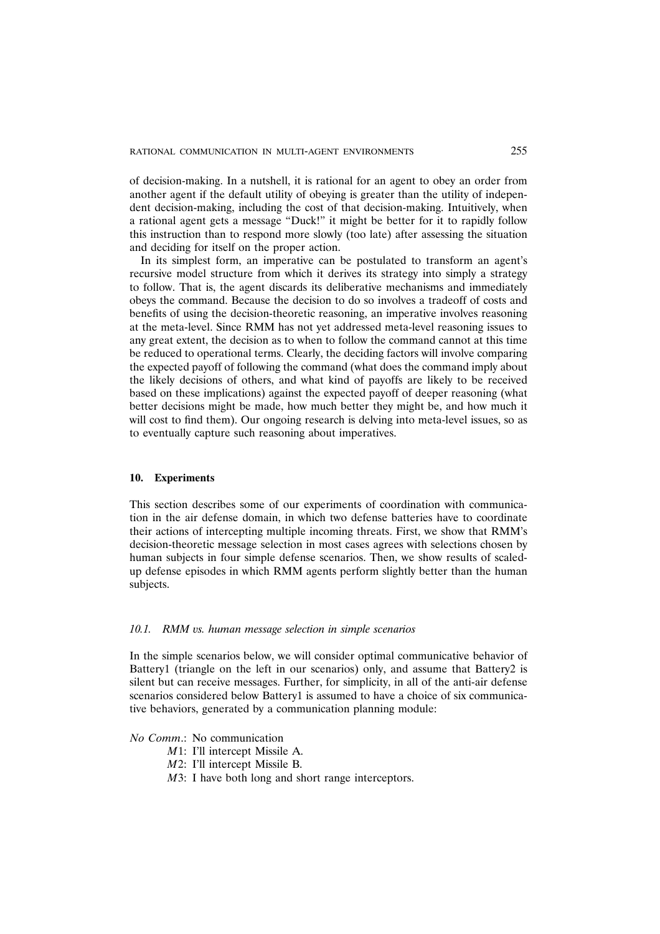of decision-making. In a nutshell, it is rational for an agent to obey an order from another agent if the default utility of obeying is greater than the utility of independent decision-making, including the cost of that decision-making. Intuitively, when a rational agent gets a message "Duck!" it might be better for it to rapidly follow this instruction than to respond more slowly (too late) after assessing the situation and deciding for itself on the proper action.

In its simplest form, an imperative can be postulated to transform an agent's recursive model structure from which it derives its strategy into simply a strategy to follow. That is, the agent discards its deliberative mechanisms and immediately obeys the command. Because the decision to do so involves a tradeoff of costs and benefits of using the decision-theoretic reasoning, an imperative involves reasoning at the meta-level. Since RMM has not yet addressed meta-level reasoning issues to any great extent, the decision as to when to follow the command cannot at this time be reduced to operational terms. Clearly, the deciding factors will involve comparing the expected payoff of following the command (what does the command imply about the likely decisions of others, and what kind of payoffs are likely to be received based on these implications) against the expected payoff of deeper reasoning (what better decisions might be made, how much better they might be, and how much it will cost to find them). Our ongoing research is delving into meta-level issues, so as to eventually capture such reasoning about imperatives.

#### 10. Experiments

This section describes some of our experiments of coordination with communication in the air defense domain, in which two defense batteries have to coordinate their actions of intercepting multiple incoming threats. First, we show that RMM's decision-theoretic message selection in most cases agrees with selections chosen by human subjects in four simple defense scenarios. Then, we show results of scaledup defense episodes in which RMM agents perform slightly better than the human subjects.

# 10.1. RMM vs. human message selection in simple scenarios

In the simple scenarios below, we will consider optimal communicative behavior of Battery1 (triangle on the left in our scenarios) only, and assume that Battery2 is silent but can receive messages. Further, for simplicity, in all of the anti-air defense scenarios considered below Battery1 is assumed to have a choice of six communicative behaviors, generated by a communication planning module:

No Comm: No communication

- M1: I'll intercept Missile A.
- M2: I'll intercept Missile B.
- M3: I have both long and short range interceptors.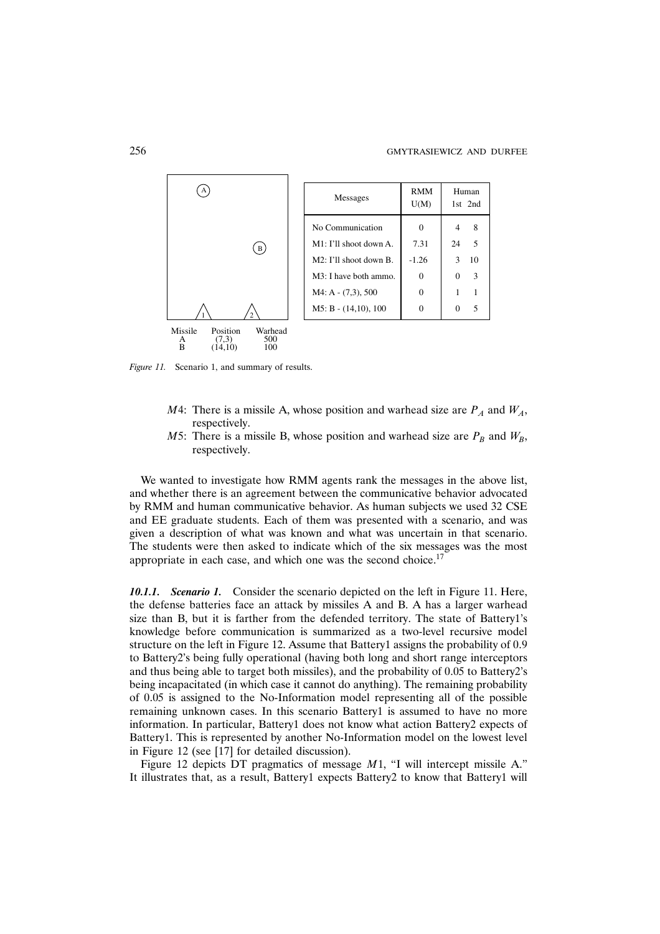

Figure 11. Scenario 1, and summary of results.

- M4: There is a missile A, whose position and warhead size are  $P_A$  and  $W_A$ , respectively.
- M5: There is a missile B, whose position and warhead size are  $P_B$  and  $W_B$ , respectively.

We wanted to investigate how RMM agents rank the messages in the above list, and whether there is an agreement between the communicative behavior advocated by RMM and human communicative behavior. As human subjects we used 32 CSE and EE graduate students. Each of them was presented with a scenario, and was given a description of what was known and what was uncertain in that scenario. The students were then asked to indicate which of the six messages was the most appropriate in each case, and which one was the second choice.<sup>17</sup>

10.1.1. Scenario 1. Consider the scenario depicted on the left in Figure 11. Here, the defense batteries face an attack by missiles A and B. A has a larger warhead size than B, but it is farther from the defended territory. The state of Battery1's knowledge before communication is summarized as a two-level recursive model structure on the left in Figure 12. Assume that Battery1 assigns the probability of 0.9 to Battery2's being fully operational (having both long and short range interceptors and thus being able to target both missiles), and the probability of 0.05 to Battery2's being incapacitated (in which case it cannot do anything). The remaining probability of 005 is assigned to the No-Information model representing all of the possible remaining unknown cases. In this scenario Battery1 is assumed to have no more information. In particular, Battery1 does not know what action Battery2 expects of Battery1. This is represented by another No-Information model on the lowest level in Figure 12 (see [17] for detailed discussion).

Figure 12 depicts DT pragmatics of message M1, "I will intercept missile A." It illustrates that, as a result, Battery1 expects Battery2 to know that Battery1 will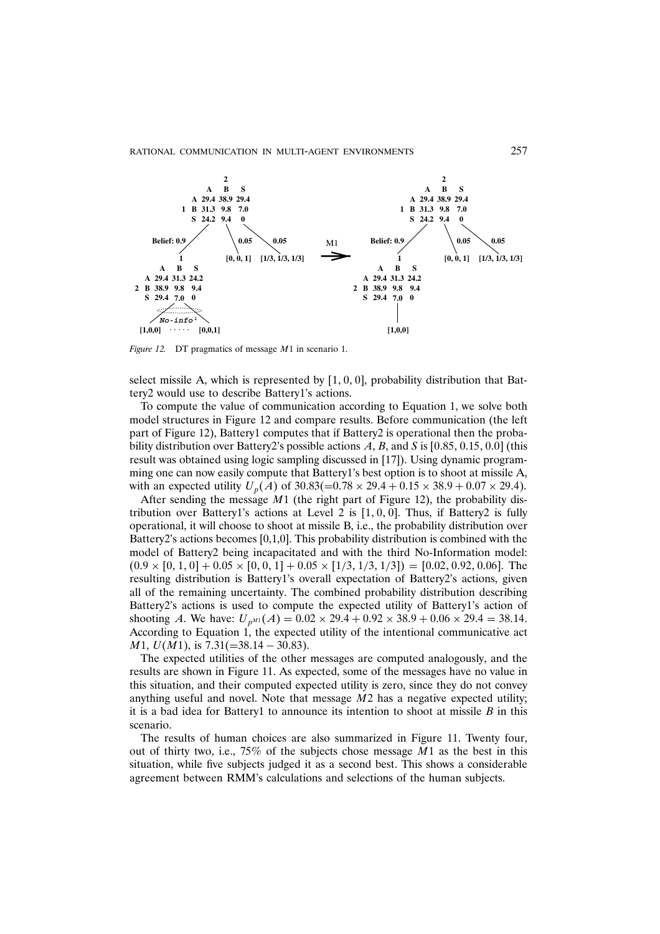

Figure 12. DT pragmatics of message  $M1$  in scenario 1.

select missile A, which is represented by  $[1, 0, 0]$ , probability distribution that Battery2 would use to describe Battery1's actions.

To compute the value of communication according to Equation 1, we solve both model structures in Figure 12 and compare results. Before communication (the left part of Figure 12), Battery1 computes that if Battery2 is operational then the probability distribution over Battery2's possible actions  $A, B$ , and S is [0.85, 0.15, 0.0] (this result was obtained using logic sampling discussed in [17]). Using dynamic programming one can now easily compute that Battery1's best option is to shoot at missile A, with an expected utility  $U_p(A)$  of 30.83(=0.78 × 29.4 + 0.15 × 38.9 + 0.07 × 29.4).

After sending the message  $M1$  (the right part of Figure 12), the probability distribution over Battery1's actions at Level 2 is  $[1, 0, 0]$ . Thus, if Battery2 is fully operational, it will choose to shoot at missile B, i.e., the probability distribution over Battery2's actions becomes [0,1,0]. This probability distribution is combined with the model of Battery2 being incapacitated and with the third No-Information model:  $(0.9 \times [0, 1, 0] + 0.05 \times [0, 0, 1] + 0.05 \times [1/3, 1/3, 1/3]) = [0.02, 0.92, 0.06]$ . The resulting distribution is Battery1's overall expectation of Battery2's actions, given all of the remaining uncertainty. The combined probability distribution describing Battery2's actions is used to compute the expected utility of Battery1's action of shooting A. We have:  $U_{p^{M_1}}(A) = 0.02 \times 29.4 + 0.92 \times 38.9 + 0.06 \times 29.4 = 38.14$ . According to Equation 1, the expected utility of the intentional communicative act M1,  $U(M1)$ , is  $7.31(=38.14 - 30.83)$ .

The expected utilities of the other messages are computed analogously, and the results are shown in Figure 11. As expected, some of the messages have no value in this situation, and their computed expected utility is zero, since they do not convey anything useful and novel. Note that message  $M2$  has a negative expected utility; it is a bad idea for Battery1 to announce its intention to shoot at missile  $B$  in this scenario.

The results of human choices are also summarized in Figure 11. Twenty four, out of thirty two, i.e., 75% of the subjects chose message  $M1$  as the best in this situation, while five subjects judged it as a second best. This shows a considerable agreement between RMM's calculations and selections of the human subjects.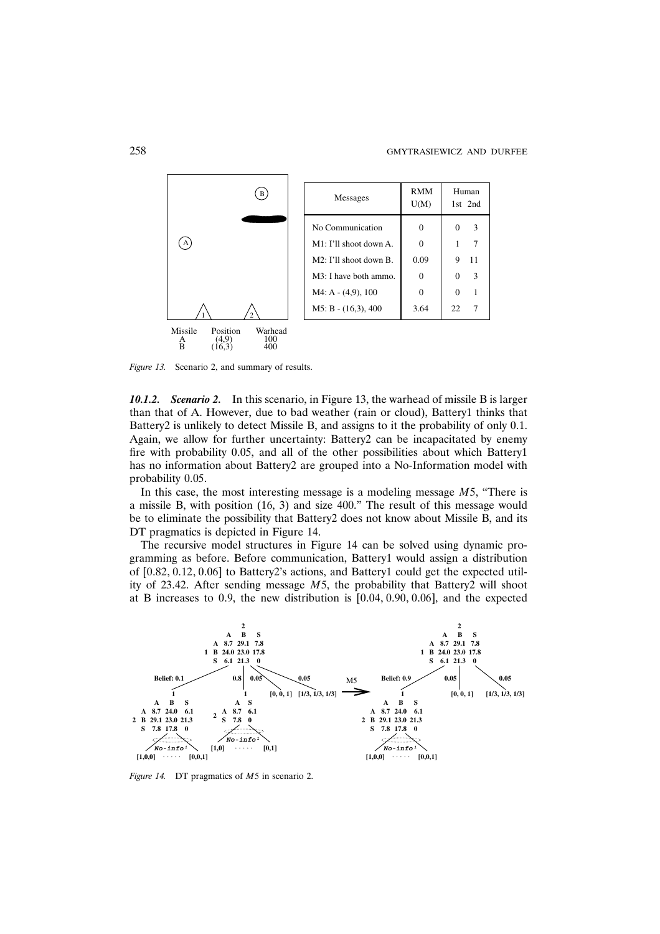

Figure 13. Scenario 2, and summary of results.

10.1.2. Scenario 2. In this scenario, in Figure 13, the warhead of missile B is larger than that of A. However, due to bad weather (rain or cloud), Battery1 thinks that Battery2 is unlikely to detect Missile B, and assigns to it the probability of only 0.1. Again, we allow for further uncertainty: Battery2 can be incapacitated by enemy fire with probability  $0.05$ , and all of the other possibilities about which Battery1 has no information about Battery2 are grouped into a No-Information model with probability 0.05.

In this case, the most interesting message is a modeling message M5, "There is a missile B, with position (16, 3) and size 400." The result of this message would be to eliminate the possibility that Battery2 does not know about Missile B, and its DT pragmatics is depicted in Figure 14.

The recursive model structures in Figure 14 can be solved using dynamic programming as before. Before communication, Battery1 would assign a distribution of  $[0.82, 0.12, 0.06]$  to Battery2's actions, and Battery1 could get the expected utility of 23.42. After sending message  $M5$ , the probability that Battery2 will shoot at B increases to 0.9, the new distribution is  $[0.04, 0.90, 0.06]$ , and the expected



Figure 14. DT pragmatics of  $M5$  in scenario 2.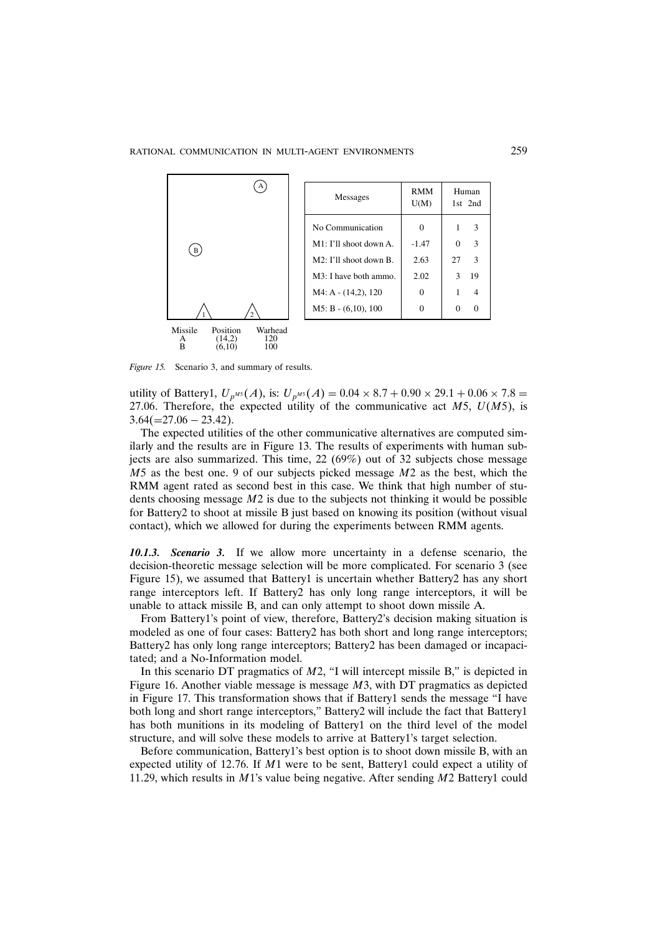|                                                                            | Messages               | <b>RMM</b><br>U(M) | Human<br>1st 2nd     |
|----------------------------------------------------------------------------|------------------------|--------------------|----------------------|
|                                                                            | No Communication       | $\Omega$           | 3                    |
| $\mathbf{B}$                                                               | M1: I'll shoot down A. | $-1.47$            | 3<br>$\Omega$        |
|                                                                            | M2: I'll shoot down B. | 2.63               | 3<br>27              |
|                                                                            | M3: I have both ammo.  | 2.02               | 3<br>19              |
|                                                                            | $M4: A - (14,2), 120$  | $\overline{0}$     | $\overline{4}$       |
|                                                                            | $M5: B - (6,10), 100$  | $\Omega$           | $\Omega$<br>$\Omega$ |
| Missile<br>Position<br>Warhead<br>120<br>(14,2)<br>A<br>B<br>100<br>(6,10) |                        |                    |                      |

Figure 15. Scenario 3, and summary of results.

utility of Battery1,  $U_{p^{MS}}(A)$ , is:  $U_{p^{MS}}(A) = 0.04 \times 8.7 + 0.90 \times 29.1 + 0.06 \times 7.8 =$ 27.06. Therefore, the expected utility of the communicative act  $M5$ ,  $U(M5)$ , is  $3.64(=27.06 - 23.42).$ 

The expected utilities of the other communicative alternatives are computed similarly and the results are in Figure 13. The results of experiments with human subjects are also summarized. This time, 22 (69%) out of 32 subjects chose message M5 as the best one. 9 of our subjects picked message M2 as the best, which the RMM agent rated as second best in this case. We think that high number of students choosing message M2 is due to the subjects not thinking it would be possible for Battery2 to shoot at missile B just based on knowing its position (without visual contact), which we allowed for during the experiments between RMM agents.

10.1.3. Scenario 3. If we allow more uncertainty in a defense scenario, the decision-theoretic message selection will be more complicated. For scenario 3 (see Figure 15), we assumed that Battery1 is uncertain whether Battery2 has any short range interceptors left. If Battery2 has only long range interceptors, it will be unable to attack missile B, and can only attempt to shoot down missile A.

From Battery1's point of view, therefore, Battery2's decision making situation is modeled as one of four cases: Battery2 has both short and long range interceptors; Battery2 has only long range interceptors; Battery2 has been damaged or incapacitated; and a No-Information model.

In this scenario DT pragmatics of  $M2$ , "I will intercept missile B," is depicted in Figure 16. Another viable message is message M3, with DT pragmatics as depicted in Figure 17. This transformation shows that if Battery1 sends the message "I have both long and short range interceptors," Battery2 will include the fact that Battery1 has both munitions in its modeling of Battery1 on the third level of the model structure, and will solve these models to arrive at Battery1's target selection.

Before communication, Battery1's best option is to shoot down missile B, with an expected utility of 12.76. If  $M1$  were to be sent, Battery1 could expect a utility of 1129, which results in M1's value being negative. After sending M2 Battery1 could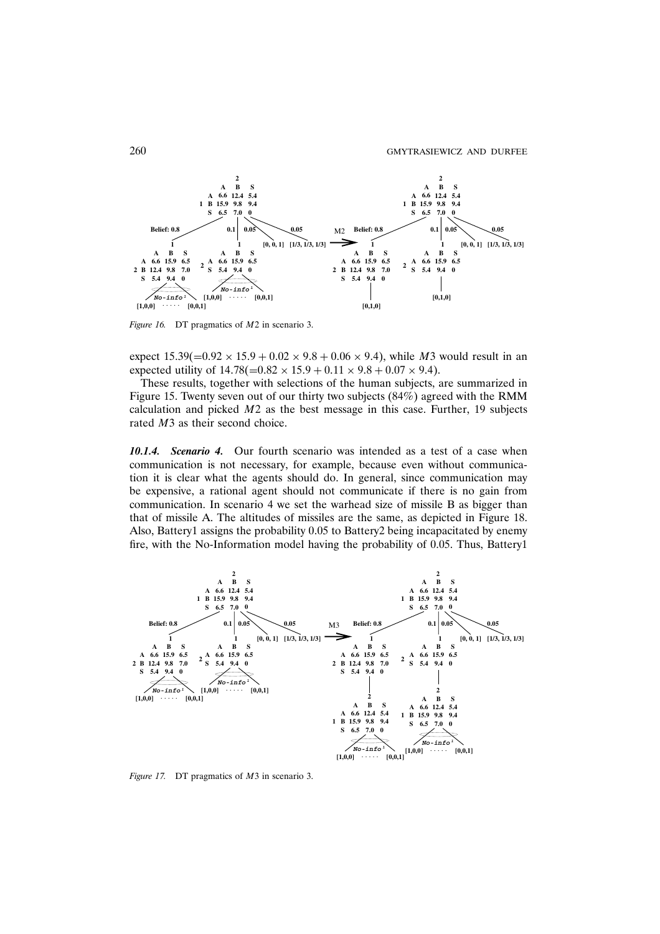

Figure 16. DT pragmatics of M2 in scenario 3.

expect  $15.39(-0.92 \times 15.9 + 0.02 \times 9.8 + 0.06 \times 9.4)$ , while M3 would result in an expected utility of  $14.78 = 0.82 \times 15.9 + 0.11 \times 9.8 + 0.07 \times 9.4$ .

These results, together with selections of the human subjects, are summarized in Figure 15. Twenty seven out of our thirty two subjects (84%) agreed with the RMM calculation and picked  $M2$  as the best message in this case. Further, 19 subjects rated  $M3$  as their second choice.

10.1.4. Scenario 4. Our fourth scenario was intended as a test of a case when communication is not necessary, for example, because even without communication it is clear what the agents should do. In general, since communication may be expensive, a rational agent should not communicate if there is no gain from communication. In scenario 4 we set the warhead size of missile B as bigger than that of missile A. The altitudes of missiles are the same, as depicted in Figure 18. Also, Battery1 assigns the probability 0.05 to Battery2 being incapacitated by enemy fire, with the No-Information model having the probability of 0.05. Thus, Battery1



Figure 17. DT pragmatics of M3 in scenario 3.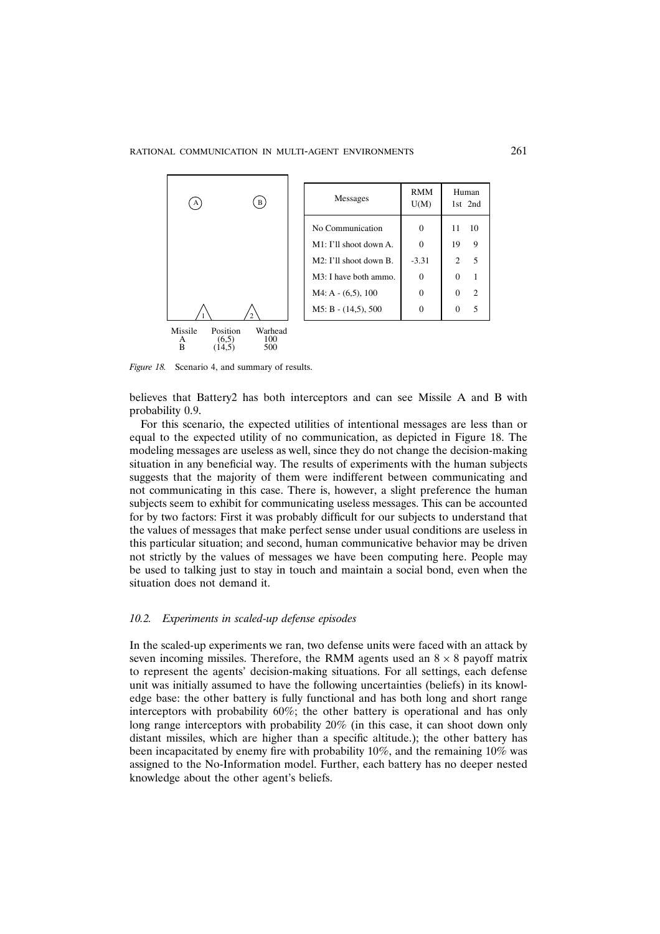| A                 |                             | B                     | Messages                            | <b>RMM</b><br>U(M) | Human<br>1st 2nd |                |
|-------------------|-----------------------------|-----------------------|-------------------------------------|--------------------|------------------|----------------|
|                   |                             | No Communication      | $\Omega$                            | 11                 | 10               |                |
|                   |                             |                       | M <sub>1</sub> : I'll shoot down A. | $\Omega$           | 19               | 9              |
|                   |                             |                       | M2: I'll shoot down B.              | $-3.31$            | $\mathfrak{2}$   | 5              |
|                   |                             |                       | M3: I have both ammo.               | $\Omega$           | $\Omega$         | 1              |
|                   |                             |                       | $M4: A - (6,5), 100$                | $\theta$           | $\Omega$         | $\mathfrak{D}$ |
|                   |                             |                       | $M5: B - (14,5), 500$               | $\Omega$           | $\Omega$         | 5              |
| Missile<br>A<br>B | Position<br>(6,5)<br>(14,5) | Warhead<br>100<br>500 |                                     |                    |                  |                |

Figure 18. Scenario 4, and summary of results.

believes that Battery2 has both interceptors and can see Missile A and B with probability 0.9.

For this scenario, the expected utilities of intentional messages are less than or equal to the expected utility of no communication, as depicted in Figure 18. The modeling messages are useless as well, since they do not change the decision-making situation in any beneficial way. The results of experiments with the human subjects suggests that the majority of them were indifferent between communicating and not communicating in this case. There is, however, a slight preference the human subjects seem to exhibit for communicating useless messages. This can be accounted for by two factors: First it was probably difficult for our subjects to understand that the values of messages that make perfect sense under usual conditions are useless in this particular situation; and second, human communicative behavior may be driven not strictly by the values of messages we have been computing here. People may be used to talking just to stay in touch and maintain a social bond, even when the situation does not demand it.

# 10.2. Experiments in scaled-up defense episodes

In the scaled-up experiments we ran, two defense units were faced with an attack by seven incoming missiles. Therefore, the RMM agents used an  $8 \times 8$  payoff matrix to represent the agents' decision-making situations. For all settings, each defense unit was initially assumed to have the following uncertainties (beliefs) in its knowledge base: the other battery is fully functional and has both long and short range interceptors with probability 60%; the other battery is operational and has only long range interceptors with probability 20% (in this case, it can shoot down only distant missiles, which are higher than a specific altitude.); the other battery has been incapacitated by enemy fire with probability 10%, and the remaining 10% was assigned to the No-Information model. Further, each battery has no deeper nested knowledge about the other agent's beliefs.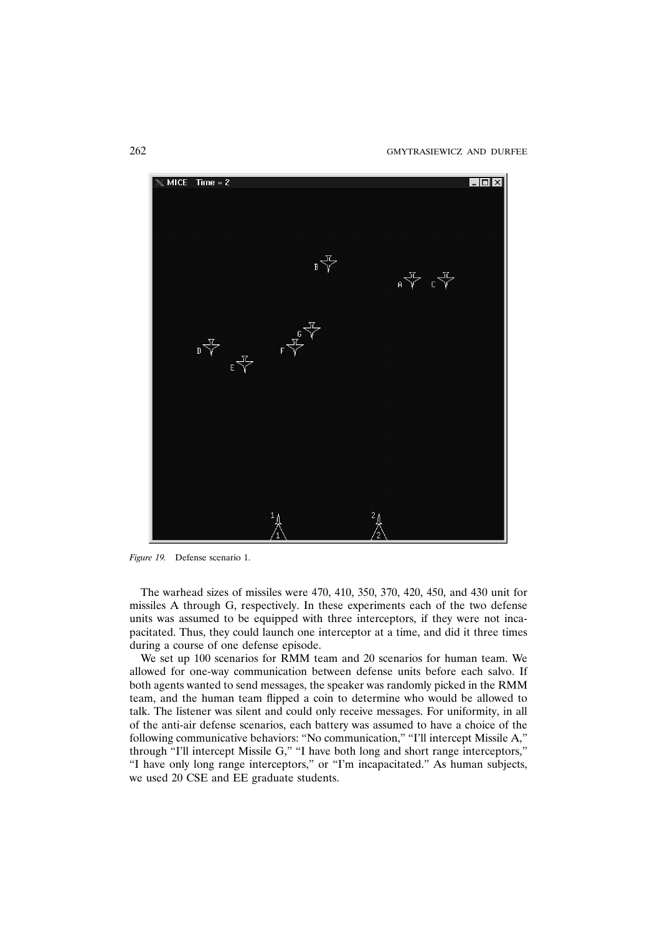

Figure 19. Defense scenario 1.

The warhead sizes of missiles were 470, 410, 350, 370, 420, 450, and 430 unit for missiles A through G, respectively. In these experiments each of the two defense units was assumed to be equipped with three interceptors, if they were not incapacitated. Thus, they could launch one interceptor at a time, and did it three times during a course of one defense episode.

We set up 100 scenarios for RMM team and 20 scenarios for human team. We allowed for one-way communication between defense units before each salvo. If both agents wanted to send messages, the speaker was randomly picked in the RMM team, and the human team flipped a coin to determine who would be allowed to talk. The listener was silent and could only receive messages. For uniformity, in all of the anti-air defense scenarios, each battery was assumed to have a choice of the following communicative behaviors: "No communication," "I'll intercept Missile A," through "I'll intercept Missile G," "I have both long and short range interceptors," "I have only long range interceptors," or "I'm incapacitated." As human subjects, we used 20 CSE and EE graduate students.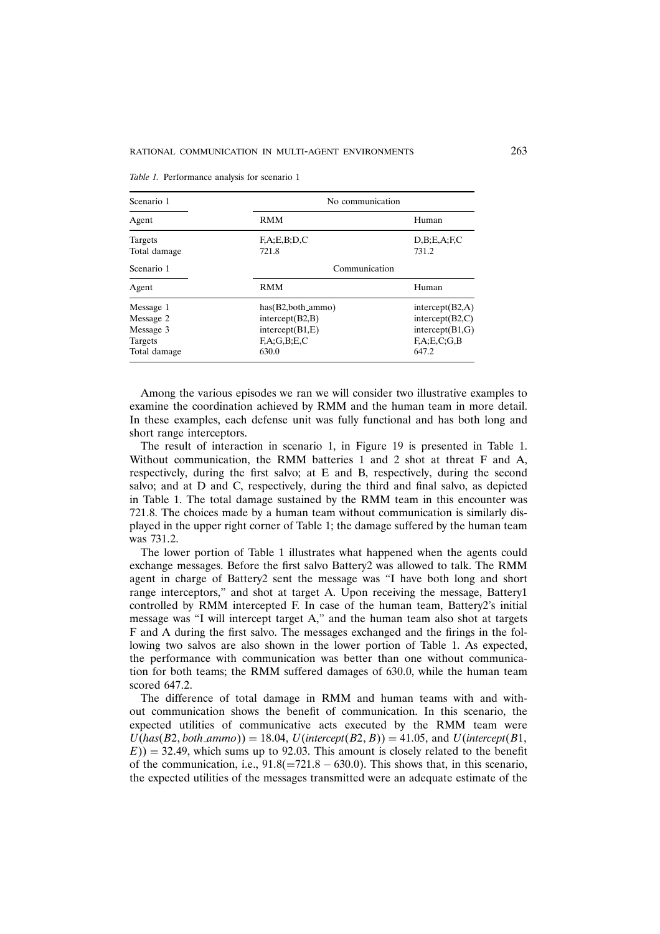Table 1. Performance analysis for scenario 1

| Scenario 1                                                     | No communication                                                                             |                                                                                |  |  |
|----------------------------------------------------------------|----------------------------------------------------------------------------------------------|--------------------------------------------------------------------------------|--|--|
| Agent                                                          | <b>RMM</b>                                                                                   | Human                                                                          |  |  |
| Targets<br>Total damage                                        | F,A;E,B;D,C<br>721.8                                                                         | D,B;E,A;F,C<br>731.2                                                           |  |  |
| Scenario 1                                                     | Communication                                                                                |                                                                                |  |  |
| Agent                                                          | <b>RMM</b>                                                                                   | Human                                                                          |  |  |
| Message 1<br>Message 2<br>Message 3<br>Targets<br>Total damage | has(B2, both <sub>a</sub> mmo)<br>intercept(B2,B)<br>intercept(B1,E)<br>F.A:G.B:E.C<br>630.0 | intercept(B2,A)<br>intercept(B2, C)<br>intercept(B1,G)<br>F,A;E,C;G,B<br>647.2 |  |  |

Among the various episodes we ran we will consider two illustrative examples to examine the coordination achieved by RMM and the human team in more detail. In these examples, each defense unit was fully functional and has both long and short range interceptors.

The result of interaction in scenario 1, in Figure 19 is presented in Table 1. Without communication, the RMM batteries 1 and 2 shot at threat F and A, respectively, during the first salvo; at E and B, respectively, during the second salvo; and at D and C, respectively, during the third and final salvo, as depicted in Table 1. The total damage sustained by the RMM team in this encounter was 7218. The choices made by a human team without communication is similarly displayed in the upper right corner of Table 1; the damage suffered by the human team was 731.2.

The lower portion of Table 1 illustrates what happened when the agents could exchange messages. Before the first salvo Battery2 was allowed to talk. The RMM agent in charge of Battery2 sent the message was "I have both long and short range interceptors," and shot at target A. Upon receiving the message, Battery1 controlled by RMM intercepted F. In case of the human team, Battery2's initial message was "I will intercept target A," and the human team also shot at targets F and A during the first salvo. The messages exchanged and the firings in the following two salvos are also shown in the lower portion of Table 1. As expected, the performance with communication was better than one without communication for both teams; the RMM suffered damages of 630.0, while the human team scored 647.2.

The difference of total damage in RMM and human teams with and without communication shows the benefit of communication. In this scenario, the expected utilities of communicative acts executed by the RMM team were  $U(has(B2, both<sub>ammo</sub>)) = 18.04, U(intexcept(B2, B)) = 41.05, and U(intexcept(B1,$  $E$ ) = 32.49, which sums up to 92.03. This amount is closely related to the benefit of the communication, i.e.,  $91.8(=721.8 - 630.0)$ . This shows that, in this scenario, the expected utilities of the messages transmitted were an adequate estimate of the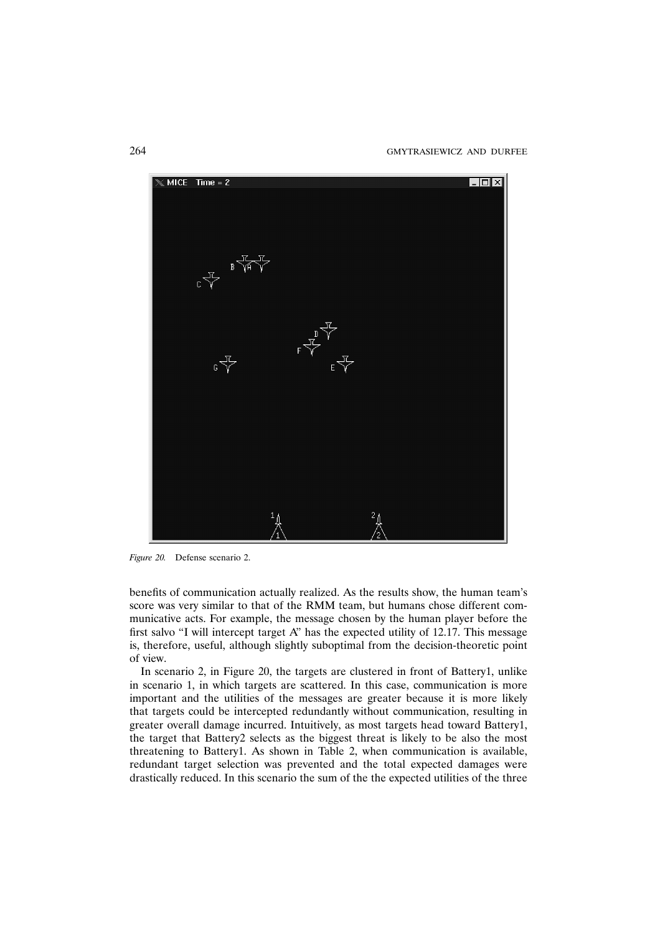

Figure 20. Defense scenario 2.

benefits of communication actually realized. As the results show, the human team's score was very similar to that of the RMM team, but humans chose different communicative acts. For example, the message chosen by the human player before the first salvo "I will intercept target A" has the expected utility of 12.17. This message is, therefore, useful, although slightly suboptimal from the decision-theoretic point of view.

In scenario 2, in Figure 20, the targets are clustered in front of Battery1, unlike in scenario 1, in which targets are scattered. In this case, communication is more important and the utilities of the messages are greater because it is more likely that targets could be intercepted redundantly without communication, resulting in greater overall damage incurred. Intuitively, as most targets head toward Battery1, the target that Battery2 selects as the biggest threat is likely to be also the most threatening to Battery1. As shown in Table 2, when communication is available, redundant target selection was prevented and the total expected damages were drastically reduced. In this scenario the sum of the the expected utilities of the three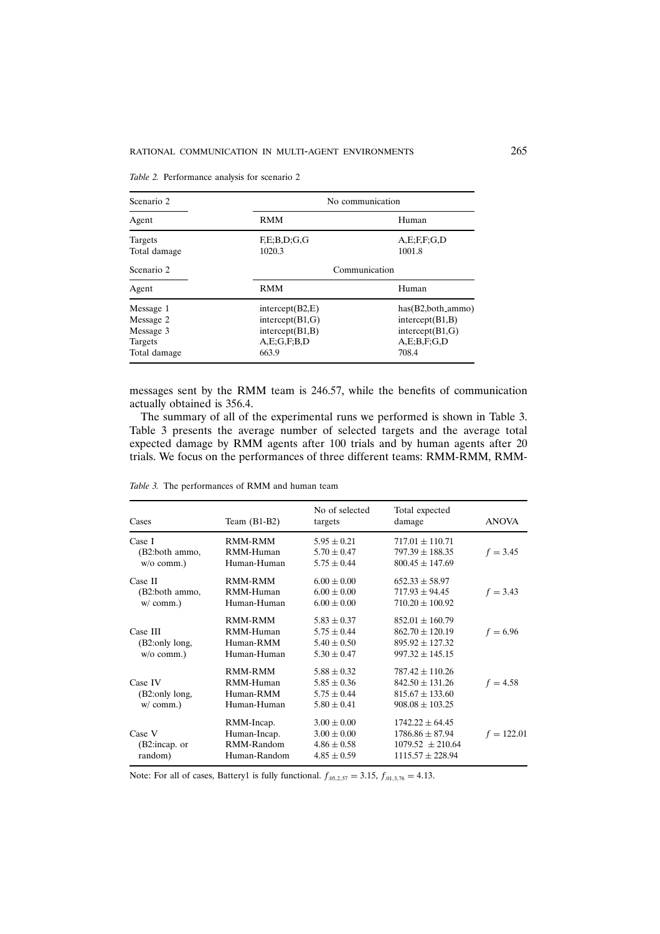Table 2. Performance analysis for scenario 2

| Scenario 2                                                     | No communication                                                              |                                                                                              |  |
|----------------------------------------------------------------|-------------------------------------------------------------------------------|----------------------------------------------------------------------------------------------|--|
| Agent                                                          | <b>RMM</b>                                                                    | Human                                                                                        |  |
| Targets<br>Total damage                                        | F,E;B,D;G,G<br>1020.3                                                         | A,E;F;G,D<br>1001.8                                                                          |  |
| Scenario 2                                                     | Communication                                                                 |                                                                                              |  |
| Agent                                                          | <b>RMM</b>                                                                    | Human                                                                                        |  |
| Message 1<br>Message 2<br>Message 3<br>Targets<br>Total damage | intercept(B2,E)<br>intercept(B1,G)<br>intercept(B1,B)<br>A.E:G.F:B.D<br>663.9 | has(B2, both <sub>a</sub> mmo)<br>intercept(B1,B)<br>intercept(B1,G)<br>A.E:B.F:G.D<br>708.4 |  |

messages sent by the RMM team is 246.57, while the benefits of communication actually obtained is 356.4.

The summary of all of the experimental runs we performed is shown in Table 3. Table 3 presents the average number of selected targets and the average total expected damage by RMM agents after 100 trials and by human agents after 20 trials. We focus on the performances of three different teams: RMM-RMM, RMM-

| Cases                                                 | Team $(B1-B2)$                                           | No of selected<br>targets                                                | Total expected<br>damage                                                               | <b>ANOVA</b> |
|-------------------------------------------------------|----------------------------------------------------------|--------------------------------------------------------------------------|----------------------------------------------------------------------------------------|--------------|
| Case I<br>(B2:both ammo,<br>$w$ /o comm.)             | RMM-RMM<br>RMM-Human<br>Human-Human                      | $5.95 \pm 0.21$<br>$5.70 \pm 0.47$<br>$5.75 \pm 0.44$                    | $717.01 \pm 110.71$<br>$797.39 \pm 188.35$<br>$800.45 + 147.69$                        | $f = 3.45$   |
| Case II<br>(B2:both ammo,<br>$w/$ comm.)              | RMM-RMM<br>RMM-Human<br>Human-Human                      | $6.00 \pm 0.00$<br>$6.00 \pm 0.00$<br>$6.00 \pm 0.00$                    | $652.33 + 58.97$<br>$717.93 + 94.45$<br>$710.20 \pm 100.92$                            | $f = 3.43$   |
| Case III<br>(B2:only long,<br>$w$ /o comm.)           | RMM-RMM<br>RMM-Human<br>Human-RMM<br>Human-Human         | $5.83 \pm 0.37$<br>$5.75 \pm 0.44$<br>$5.40 \pm 0.50$<br>$5.30 \pm 0.47$ | $852.01 + 160.79$<br>$862.70 + 120.19$<br>$895.92 + 127.32$<br>$997.32 \pm 145.15$     | $f = 6.96$   |
| Case IV<br>(B2: only long,<br>$w/$ comm.)             | RMM-RMM<br>RMM-Human<br>Human-RMM<br>Human-Human         | $5.88 \pm 0.32$<br>$5.85 \pm 0.36$<br>$5.75 \pm 0.44$<br>$5.80 \pm 0.41$ | $787.42 + 110.26$<br>$842.50 \pm 131.26$<br>$815.67 \pm 133.60$<br>$908.08 \pm 103.25$ | $f = 4.58$   |
| Case V<br>$(B2: \text{incap.} \text{ or }$<br>random) | RMM-Incap.<br>Human-Incap.<br>RMM-Random<br>Human-Random | $3.00 \pm 0.00$<br>$3.00 \pm 0.00$<br>$4.86 \pm 0.58$<br>$4.85 \pm 0.59$ | $1742.22 + 64.45$<br>$1786.86 \pm 87.94$<br>$1079.52 \pm 210.64$<br>$1115.57 + 228.94$ | $f = 122.01$ |

Table 3. The performances of RMM and human team

Note: For all of cases, Battery1 is fully functional.  $f_{0.05,2,57} = 3.15$ ,  $f_{0.01,3,76} = 4.13$ .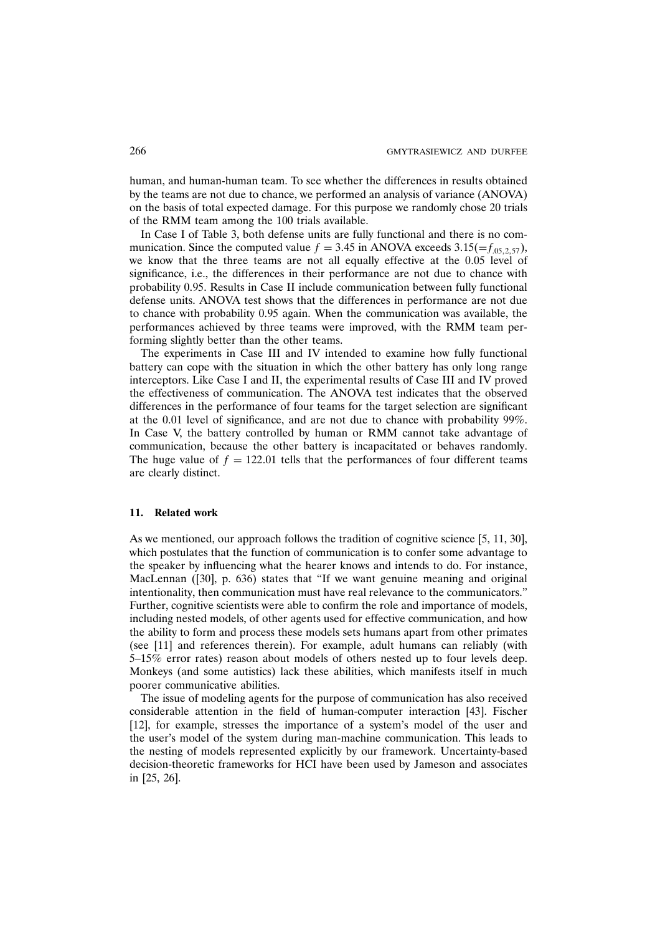human, and human-human team. To see whether the differences in results obtained by the teams are not due to chance, we performed an analysis of variance (ANOVA) on the basis of total expected damage. For this purpose we randomly chose 20 trials of the RMM team among the 100 trials available.

In Case I of Table 3, both defense units are fully functional and there is no communication. Since the computed value  $f = 3.45$  in ANOVA exceeds  $3.15(=f_{05,257})$ , we know that the three teams are not all equally effective at the 0.05 level of significance, i.e., the differences in their performance are not due to chance with probability 095. Results in Case II include communication between fully functional defense units. ANOVA test shows that the differences in performance are not due to chance with probability 0.95 again. When the communication was available, the performances achieved by three teams were improved, with the RMM team performing slightly better than the other teams.

The experiments in Case III and IV intended to examine how fully functional battery can cope with the situation in which the other battery has only long range interceptors. Like Case I and II, the experimental results of Case III and IV proved the effectiveness of communication. The ANOVA test indicates that the observed differences in the performance of four teams for the target selection are significant at the  $0.01$  level of significance, and are not due to chance with probability  $99\%$ . In Case V, the battery controlled by human or RMM cannot take advantage of communication, because the other battery is incapacitated or behaves randomly. The huge value of  $f = 122.01$  tells that the performances of four different teams are clearly distinct.

#### 11. Related work

As we mentioned, our approach follows the tradition of cognitive science [5, 11, 30], which postulates that the function of communication is to confer some advantage to the speaker by influencing what the hearer knows and intends to do. For instance, MacLennan ([30], p. 636) states that "If we want genuine meaning and original intentionality, then communication must have real relevance to the communicators." Further, cognitive scientists were able to confirm the role and importance of models, including nested models, of other agents used for effective communication, and how the ability to form and process these models sets humans apart from other primates (see [11] and references therein). For example, adult humans can reliably (with 5–15% error rates) reason about models of others nested up to four levels deep. Monkeys (and some autistics) lack these abilities, which manifests itself in much poorer communicative abilities.

The issue of modeling agents for the purpose of communication has also received considerable attention in the field of human-computer interaction [43]. Fischer [12], for example, stresses the importance of a system's model of the user and the user's model of the system during man-machine communication. This leads to the nesting of models represented explicitly by our framework. Uncertainty-based decision-theoretic frameworks for HCI have been used by Jameson and associates in [25, 26].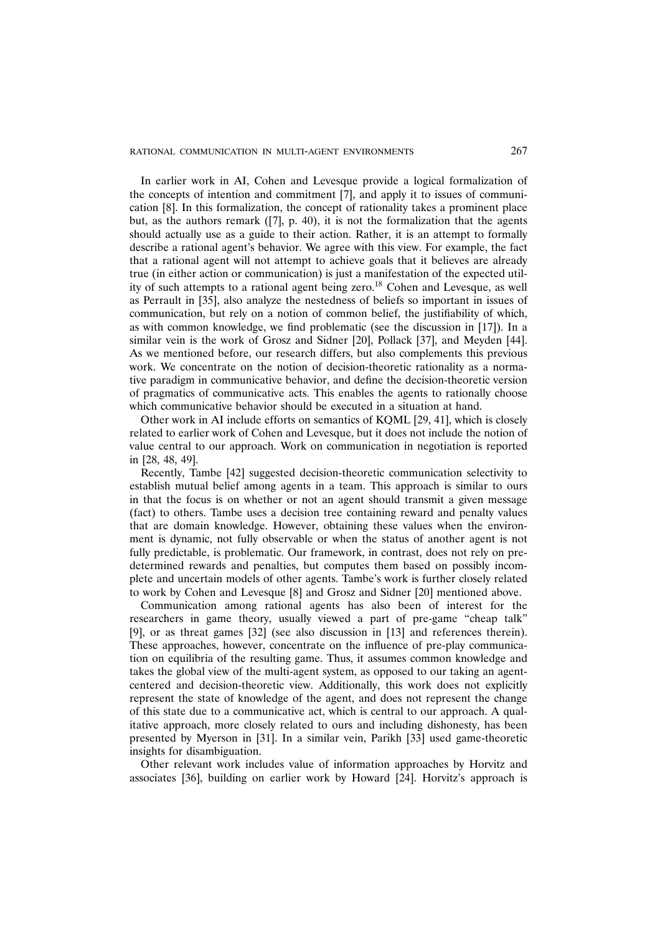In earlier work in AI, Cohen and Levesque provide a logical formalization of the concepts of intention and commitment [7], and apply it to issues of communication [8]. In this formalization, the concept of rationality takes a prominent place but, as the authors remark ([7], p. 40), it is not the formalization that the agents should actually use as a guide to their action. Rather, it is an attempt to formally describe a rational agent's behavior. We agree with this view. For example, the fact that a rational agent will not attempt to achieve goals that it believes are already true (in either action or communication) is just a manifestation of the expected utility of such attempts to a rational agent being zero.<sup>18</sup> Cohen and Levesque, as well as Perrault in [35], also analyze the nestedness of beliefs so important in issues of communication, but rely on a notion of common belief, the justifiability of which, as with common knowledge, we find problematic (see the discussion in [17]). In a similar vein is the work of Grosz and Sidner [20], Pollack [37], and Meyden [44]. As we mentioned before, our research differs, but also complements this previous work. We concentrate on the notion of decision-theoretic rationality as a normative paradigm in communicative behavior, and define the decision-theoretic version of pragmatics of communicative acts. This enables the agents to rationally choose which communicative behavior should be executed in a situation at hand.

Other work in AI include efforts on semantics of KQML [29, 41], which is closely related to earlier work of Cohen and Levesque, but it does not include the notion of value central to our approach. Work on communication in negotiation is reported in [28, 48, 49].

Recently, Tambe [42] suggested decision-theoretic communication selectivity to establish mutual belief among agents in a team. This approach is similar to ours in that the focus is on whether or not an agent should transmit a given message (fact) to others. Tambe uses a decision tree containing reward and penalty values that are domain knowledge. However, obtaining these values when the environment is dynamic, not fully observable or when the status of another agent is not fully predictable, is problematic. Our framework, in contrast, does not rely on predetermined rewards and penalties, but computes them based on possibly incomplete and uncertain models of other agents. Tambe's work is further closely related to work by Cohen and Levesque [8] and Grosz and Sidner [20] mentioned above.

Communication among rational agents has also been of interest for the researchers in game theory, usually viewed a part of pre-game "cheap talk" [9], or as threat games [32] (see also discussion in [13] and references therein). These approaches, however, concentrate on the influence of pre-play communication on equilibria of the resulting game. Thus, it assumes common knowledge and takes the global view of the multi-agent system, as opposed to our taking an agentcentered and decision-theoretic view. Additionally, this work does not explicitly represent the state of knowledge of the agent, and does not represent the change of this state due to a communicative act, which is central to our approach. A qualitative approach, more closely related to ours and including dishonesty, has been presented by Myerson in [31]. In a similar vein, Parikh [33] used game-theoretic insights for disambiguation.

Other relevant work includes value of information approaches by Horvitz and associates [36], building on earlier work by Howard [24]. Horvitz's approach is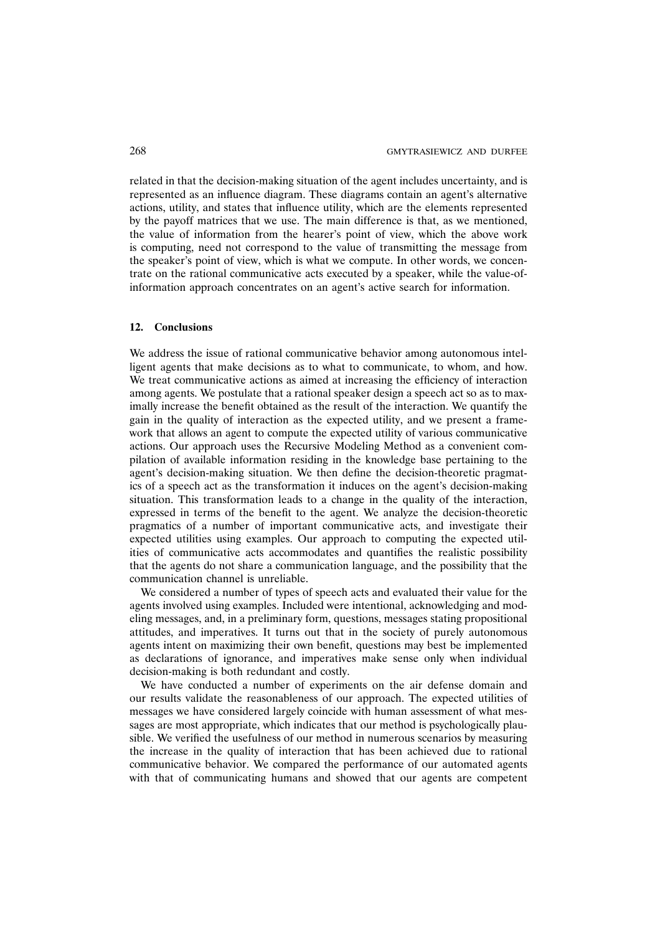related in that the decision-making situation of the agent includes uncertainty, and is represented as an influence diagram. These diagrams contain an agent's alternative actions, utility, and states that influence utility, which are the elements represented by the payoff matrices that we use. The main difference is that, as we mentioned, the value of information from the hearer's point of view, which the above work is computing, need not correspond to the value of transmitting the message from the speaker's point of view, which is what we compute. In other words, we concentrate on the rational communicative acts executed by a speaker, while the value-ofinformation approach concentrates on an agent's active search for information.

#### 12. Conclusions

We address the issue of rational communicative behavior among autonomous intelligent agents that make decisions as to what to communicate, to whom, and how. We treat communicative actions as aimed at increasing the efficiency of interaction among agents. We postulate that a rational speaker design a speech act so as to maximally increase the benefit obtained as the result of the interaction. We quantify the gain in the quality of interaction as the expected utility, and we present a framework that allows an agent to compute the expected utility of various communicative actions. Our approach uses the Recursive Modeling Method as a convenient compilation of available information residing in the knowledge base pertaining to the agent's decision-making situation. We then define the decision-theoretic pragmatics of a speech act as the transformation it induces on the agent's decision-making situation. This transformation leads to a change in the quality of the interaction, expressed in terms of the benefit to the agent. We analyze the decision-theoretic pragmatics of a number of important communicative acts, and investigate their expected utilities using examples. Our approach to computing the expected utilities of communicative acts accommodates and quantifies the realistic possibility that the agents do not share a communication language, and the possibility that the communication channel is unreliable.

We considered a number of types of speech acts and evaluated their value for the agents involved using examples. Included were intentional, acknowledging and modeling messages, and, in a preliminary form, questions, messages stating propositional attitudes, and imperatives. It turns out that in the society of purely autonomous agents intent on maximizing their own benefit, questions may best be implemented as declarations of ignorance, and imperatives make sense only when individual decision-making is both redundant and costly.

We have conducted a number of experiments on the air defense domain and our results validate the reasonableness of our approach. The expected utilities of messages we have considered largely coincide with human assessment of what messages are most appropriate, which indicates that our method is psychologically plausible. We verified the usefulness of our method in numerous scenarios by measuring the increase in the quality of interaction that has been achieved due to rational communicative behavior. We compared the performance of our automated agents with that of communicating humans and showed that our agents are competent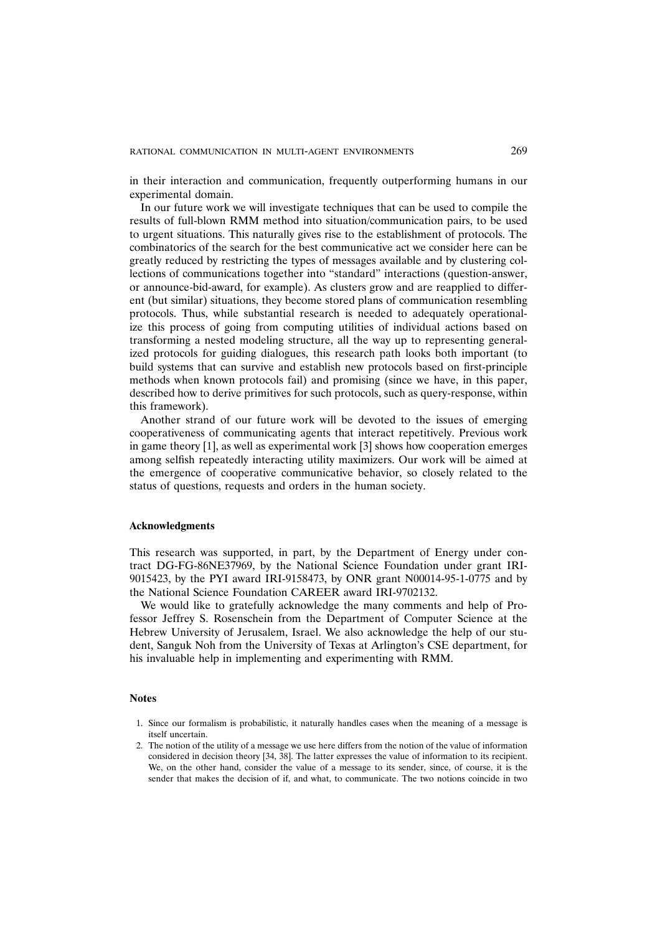in their interaction and communication, frequently outperforming humans in our experimental domain.

In our future work we will investigate techniques that can be used to compile the results of full-blown RMM method into situation/communication pairs, to be used to urgent situations. This naturally gives rise to the establishment of protocols. The combinatorics of the search for the best communicative act we consider here can be greatly reduced by restricting the types of messages available and by clustering collections of communications together into "standard" interactions (question-answer, or announce-bid-award, for example). As clusters grow and are reapplied to different (but similar) situations, they become stored plans of communication resembling protocols. Thus, while substantial research is needed to adequately operationalize this process of going from computing utilities of individual actions based on transforming a nested modeling structure, all the way up to representing generalized protocols for guiding dialogues, this research path looks both important (to build systems that can survive and establish new protocols based on first-principle methods when known protocols fail) and promising (since we have, in this paper, described how to derive primitives for such protocols, such as query-response, within this framework).

Another strand of our future work will be devoted to the issues of emerging cooperativeness of communicating agents that interact repetitively. Previous work in game theory [1], as well as experimental work [3] shows how cooperation emerges among selfish repeatedly interacting utility maximizers. Our work will be aimed at the emergence of cooperative communicative behavior, so closely related to the status of questions, requests and orders in the human society.

#### Acknowledgments

This research was supported, in part, by the Department of Energy under contract DG-FG-86NE37969, by the National Science Foundation under grant IRI-9015423, by the PYI award IRI-9158473, by ONR grant N00014-95-1-0775 and by the National Science Foundation CAREER award IRI-9702132.

We would like to gratefully acknowledge the many comments and help of Professor Jeffrey S. Rosenschein from the Department of Computer Science at the Hebrew University of Jerusalem, Israel. We also acknowledge the help of our student, Sanguk Noh from the University of Texas at Arlington's CSE department, for his invaluable help in implementing and experimenting with RMM.

#### **Notes**

- 1. Since our formalism is probabilistic, it naturally handles cases when the meaning of a message is itself uncertain.
- 2. The notion of the utility of a message we use here differs from the notion of the value of information considered in decision theory [34, 38]. The latter expresses the value of information to its recipient. We, on the other hand, consider the value of a message to its sender, since, of course, it is the sender that makes the decision of if, and what, to communicate. The two notions coincide in two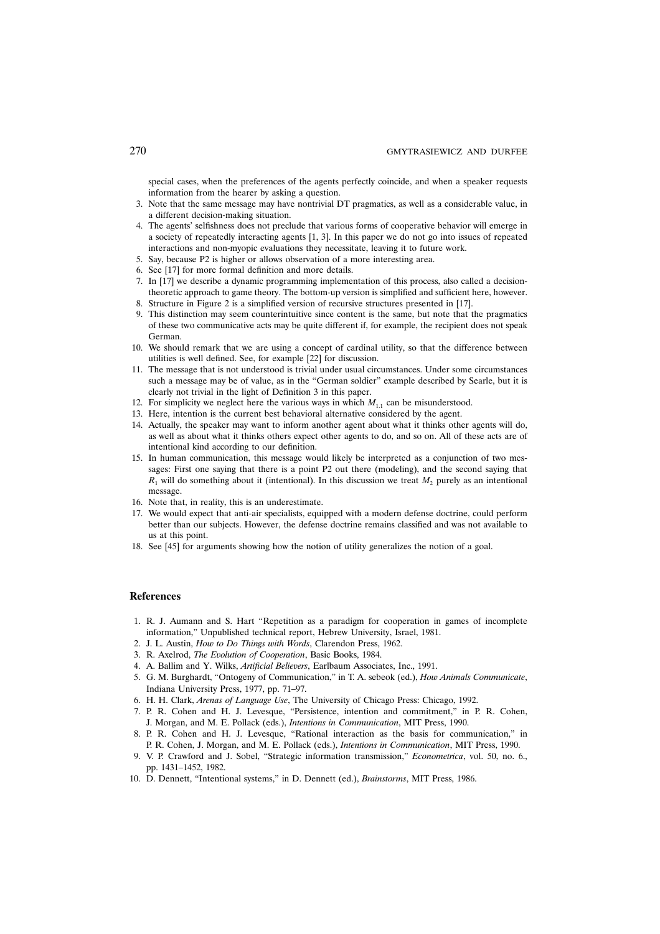special cases, when the preferences of the agents perfectly coincide, and when a speaker requests information from the hearer by asking a question.

- 3. Note that the same message may have nontrivial DT pragmatics, as well as a considerable value, in a different decision-making situation.
- 4. The agents' selfishness does not preclude that various forms of cooperative behavior will emerge in a society of repeatedly interacting agents [1, 3]. In this paper we do not go into issues of repeated interactions and non-myopic evaluations they necessitate, leaving it to future work.
- 5. Say, because P2 is higher or allows observation of a more interesting area.
- 6. See [17] for more formal definition and more details.
- 7. In [17] we describe a dynamic programming implementation of this process, also called a decisiontheoretic approach to game theory. The bottom-up version is simplified and sufficient here, however.
- 8. Structure in Figure 2 is a simplified version of recursive structures presented in [17].
- 9. This distinction may seem counterintuitive since content is the same, but note that the pragmatics of these two communicative acts may be quite different if, for example, the recipient does not speak German.
- 10. We should remark that we are using a concept of cardinal utility, so that the difference between utilities is well defined. See, for example [22] for discussion.
- 11. The message that is not understood is trivial under usual circumstances. Under some circumstances such a message may be of value, as in the "German soldier" example described by Searle, but it is clearly not trivial in the light of Definition 3 in this paper.
- 12. For simplicity we neglect here the various ways in which  $M<sub>1.1</sub>$  can be misunderstood.
- 13. Here, intention is the current best behavioral alternative considered by the agent.
- 14. Actually, the speaker may want to inform another agent about what it thinks other agents will do, as well as about what it thinks others expect other agents to do, and so on. All of these acts are of intentional kind according to our definition.
- 15. In human communication, this message would likely be interpreted as a conjunction of two messages: First one saying that there is a point P2 out there (modeling), and the second saying that  $R_1$  will do something about it (intentional). In this discussion we treat  $M_2$  purely as an intentional message.
- 16. Note that, in reality, this is an underestimate.
- 17. We would expect that anti-air specialists, equipped with a modern defense doctrine, could perform better than our subjects. However, the defense doctrine remains classified and was not available to us at this point.
- 18. See [45] for arguments showing how the notion of utility generalizes the notion of a goal.

# References

- 1. R. J. Aumann and S. Hart "Repetition as a paradigm for cooperation in games of incomplete information," Unpublished technical report, Hebrew University, Israel, 1981.
- 2. J. L. Austin, How to Do Things with Words, Clarendon Press, 1962.
- 3. R. Axelrod, The Evolution of Cooperation, Basic Books, 1984.
- 4. A. Ballim and Y. Wilks, Artificial Believers, Earlbaum Associates, Inc., 1991.
- 5. G. M. Burghardt, "Ontogeny of Communication," in T. A. sebeok (ed.), How Animals Communicate, Indiana University Press, 1977, pp. 71–97.
- 6. H. H. Clark, Arenas of Language Use, The University of Chicago Press: Chicago, 1992.
- 7. P. R. Cohen and H. J. Levesque, "Persistence, intention and commitment," in P. R. Cohen, J. Morgan, and M. E. Pollack (eds.), Intentions in Communication, MIT Press, 1990.
- 8. P. R. Cohen and H. J. Levesque, "Rational interaction as the basis for communication," in P. R. Cohen, J. Morgan, and M. E. Pollack (eds.), Intentions in Communication, MIT Press, 1990.
- 9. V. P. Crawford and J. Sobel, "Strategic information transmission," Econometrica, vol. 50, no. 6., pp. 1431–1452, 1982.
- 10. D. Dennett, "Intentional systems," in D. Dennett (ed.), Brainstorms, MIT Press, 1986.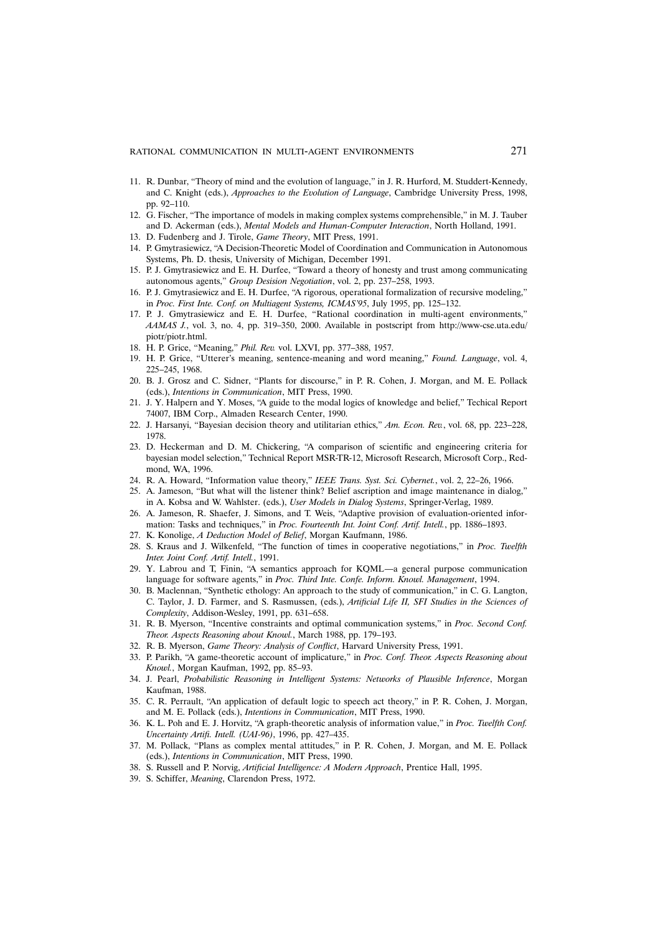- 11. R. Dunbar, "Theory of mind and the evolution of language," in J. R. Hurford, M. Studdert-Kennedy, and C. Knight (eds.), Approaches to the Evolution of Language, Cambridge University Press, 1998, pp. 92–110.
- 12. G. Fischer, "The importance of models in making complex systems comprehensible," in M. J. Tauber and D. Ackerman (eds.), Mental Models and Human-Computer Interaction, North Holland, 1991.
- 13. D. Fudenberg and J. Tirole, Game Theory, MIT Press, 1991.
- 14. P. Gmytrasiewicz, "A Decision-Theoretic Model of Coordination and Communication in Autonomous Systems, Ph. D. thesis, University of Michigan, December 1991.
- 15. P. J. Gmytrasiewicz and E. H. Durfee, "Toward a theory of honesty and trust among communicating autonomous agents," Group Desision Negotiation, vol. 2, pp. 237–258, 1993.
- 16. P. J. Gmytrasiewicz and E. H. Durfee, "A rigorous, operational formalization of recursive modeling," in Proc. First Inte. Conf. on Multiagent Systems, ICMAS'95, July 1995, pp. 125–132.
- 17. P. J. Gmytrasiewicz and E. H. Durfee, "Rational coordination in multi-agent environments," AAMAS J., vol. 3, no. 4, pp. 319–350, 2000. Available in postscript from http://www-cse.uta.edu/ piotr/piotr.html.
- 18. H. P. Grice, "Meaning," Phil. Rev. vol. LXVI, pp. 377–388, 1957.
- 19. H. P. Grice, "Utterer's meaning, sentence-meaning and word meaning," Found. Language, vol. 4, 225–245, 1968.
- 20. B. J. Grosz and C. Sidner, "Plants for discourse," in P. R. Cohen, J. Morgan, and M. E. Pollack (eds.), Intentions in Communication, MIT Press, 1990.
- 21. J. Y. Halpern and Y. Moses, "A guide to the modal logics of knowledge and belief," Techical Report 74007, IBM Corp., Almaden Research Center, 1990.
- 22. J. Harsanyi, "Bayesian decision theory and utilitarian ethics,"  $Am. Econ. Rev.$ , vol. 68, pp. 223–228, 1978.
- 23. D. Heckerman and D. M. Chickering, "A comparison of scientific and engineering criteria for bayesian model selection," Technical Report MSR-TR-12, Microsoft Research, Microsoft Corp., Redmond, WA, 1996.
- 24. R. A. Howard, "Information value theory," IEEE Trans. Syst. Sci. Cybernet., vol. 2, 22–26, 1966.
- 25. A. Jameson, "But what will the listener think? Belief ascription and image maintenance in dialog," in A. Kobsa and W. Wahlster. (eds.), User Models in Dialog Systems, Springer-Verlag, 1989.
- 26. A. Jameson, R. Shaefer, J. Simons, and T. Weis, "Adaptive provision of evaluation-oriented information: Tasks and techniques," in Proc. Fourteenth Int. Joint Conf. Artif. Intell., pp. 1886–1893.
- 27. K. Konolige, A Deduction Model of Belief, Morgan Kaufmann, 1986.
- 28. S. Kraus and J. Wilkenfeld, "The function of times in cooperative negotiations," in Proc. Twelfth Inter. Joint Conf. Artif. Intell., 1991.
- 29. Y. Labrou and T, Finin, "A semantics approach for KQML—a general purpose communication language for software agents," in Proc. Third Inte. Confe. Inform. Knowl. Management, 1994.
- 30. B. Maclennan, "Synthetic ethology: An approach to the study of communication," in C. G. Langton, C. Taylor, J. D. Farmer, and S. Rasmussen, (eds.), Artificial Life II, SFI Studies in the Sciences of Complexity, Addison-Wesley, 1991, pp. 631–658.
- 31. R. B. Myerson, "Incentive constraints and optimal communication systems," in Proc. Second Conf. Theor. Aspects Reasoning about Knowl., March 1988, pp. 179–193.
- 32. R. B. Myerson, Game Theory: Analysis of Conflict, Harvard University Press, 1991.
- 33. P. Parikh, "A game-theoretic account of implicature," in Proc. Conf. Theor. Aspects Reasoning about Knowl., Morgan Kaufman, 1992, pp. 85–93.
- 34. J. Pearl, Probabilistic Reasoning in Intelligent Systems: Networks of Plausible Inference, Morgan Kaufman, 1988.
- 35. C. R. Perrault, "An application of default logic to speech act theory," in P. R. Cohen, J. Morgan, and M. E. Pollack (eds.), Intentions in Communication, MIT Press, 1990.
- 36. K. L. Poh and E. J. Horvitz, "A graph-theoretic analysis of information value," in Proc. Twelfth Conf. Uncertainty Artifi. Intell. (UAI-96), 1996, pp. 427–435.
- 37. M. Pollack, "Plans as complex mental attitudes," in P. R. Cohen, J. Morgan, and M. E. Pollack (eds.), Intentions in Communication, MIT Press, 1990.
- 38. S. Russell and P. Norvig, Artificial Intelligence: A Modern Approach, Prentice Hall, 1995.
- 39. S. Schiffer, Meaning, Clarendon Press, 1972.